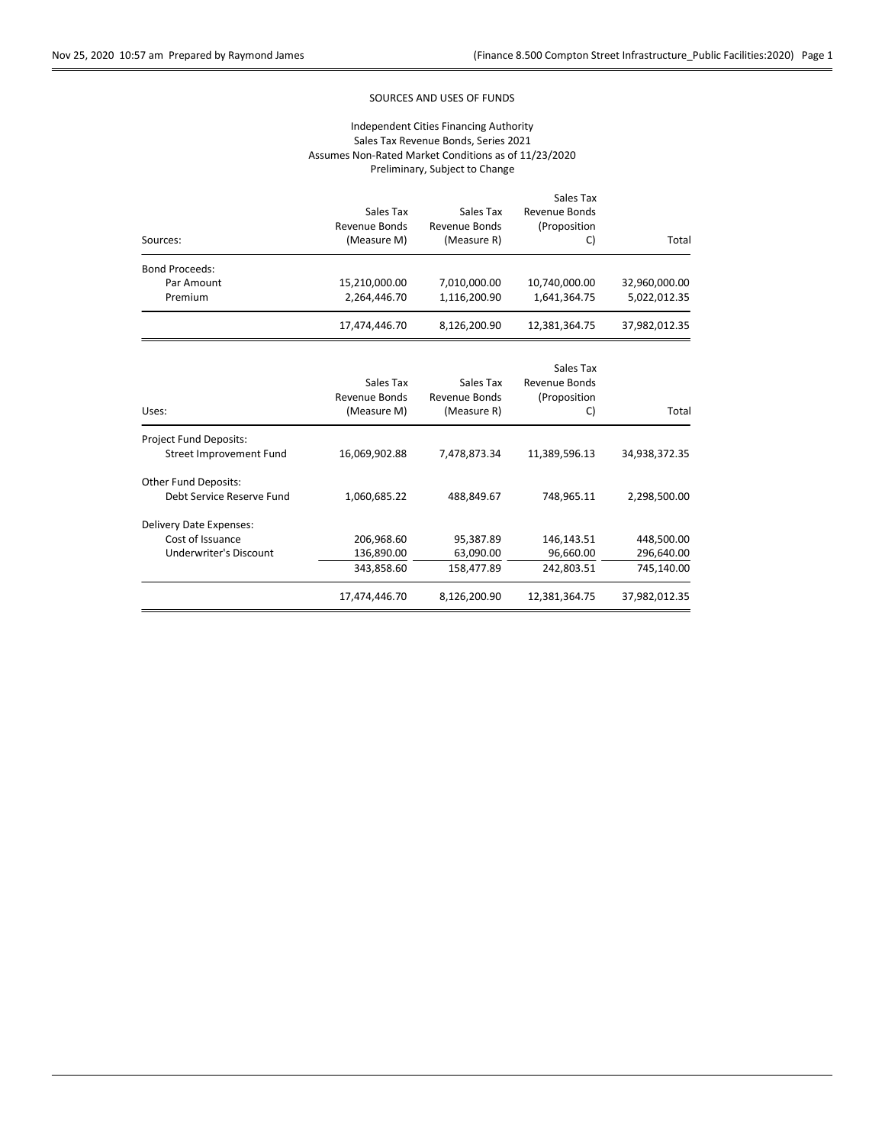## SOURCES AND USES OF FUNDS

|                                |               |                      | Sales Tax     |               |  |  |  |
|--------------------------------|---------------|----------------------|---------------|---------------|--|--|--|
|                                | Sales Tax     | Sales Tax            | Revenue Bonds |               |  |  |  |
|                                | Revenue Bonds | Revenue Bonds        | (Proposition  |               |  |  |  |
| Sources:                       | (Measure M)   | (Measure R)          | C)            | Total         |  |  |  |
| <b>Bond Proceeds:</b>          |               |                      |               |               |  |  |  |
| Par Amount                     | 15,210,000.00 | 7,010,000.00         | 10,740,000.00 | 32,960,000.00 |  |  |  |
| Premium                        | 2,264,446.70  | 1,116,200.90         | 1,641,364.75  | 5,022,012.35  |  |  |  |
|                                | 17,474,446.70 | 8,126,200.90         | 12,381,364.75 | 37,982,012.35 |  |  |  |
|                                |               |                      |               |               |  |  |  |
|                                |               |                      | Sales Tax     |               |  |  |  |
|                                | Sales Tax     | Sales Tax            | Revenue Bonds |               |  |  |  |
|                                | Revenue Bonds | <b>Revenue Bonds</b> | (Proposition  |               |  |  |  |
| Uses:                          | (Measure M)   | (Measure R)          | C)            | Total         |  |  |  |
| <b>Project Fund Deposits:</b>  |               |                      |               |               |  |  |  |
| <b>Street Improvement Fund</b> | 16,069,902.88 | 7,478,873.34         | 11,389,596.13 | 34,938,372.35 |  |  |  |
| <b>Other Fund Deposits:</b>    |               |                      |               |               |  |  |  |
| Debt Service Reserve Fund      | 1,060,685.22  | 488,849.67           | 748,965.11    | 2,298,500.00  |  |  |  |
| Delivery Date Expenses:        |               |                      |               |               |  |  |  |
| Cost of Issuance               | 206,968.60    | 95,387.89            | 146,143.51    | 448,500.00    |  |  |  |
| Underwriter's Discount         | 136,890.00    | 63,090.00            | 96,660.00     | 296,640.00    |  |  |  |
|                                | 343,858.60    | 158,477.89           | 242,803.51    | 745,140.00    |  |  |  |
|                                | 17,474,446.70 | 8,126,200.90         | 12,381,364.75 | 37,982,012.35 |  |  |  |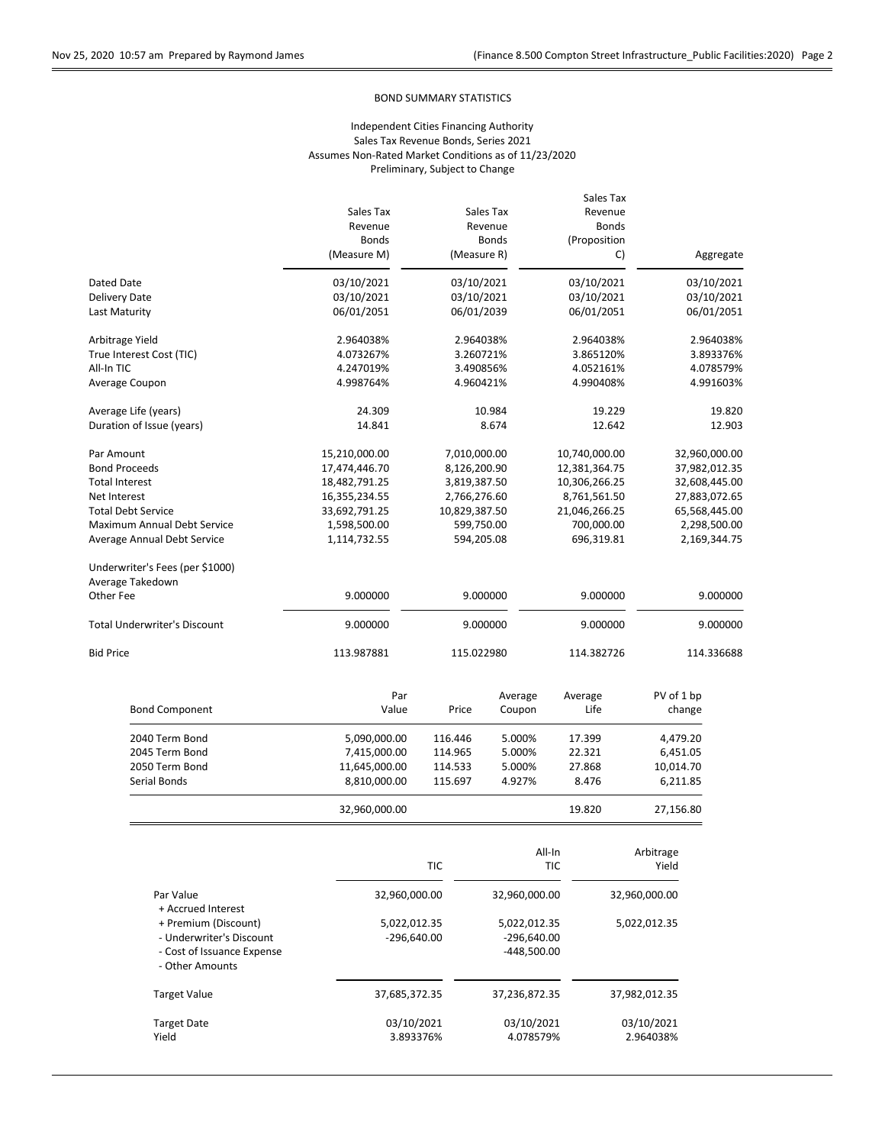## BOND SUMMARY STATISTICS

|                                 |                             |               |                          | Sales Tax            |                                                                                 |               |  |  |
|---------------------------------|-----------------------------|---------------|--------------------------|----------------------|---------------------------------------------------------------------------------|---------------|--|--|
|                                 | Sales Tax                   |               | Sales Tax                | Revenue              |                                                                                 |               |  |  |
|                                 | Revenue                     |               | Revenue                  | <b>Bonds</b>         |                                                                                 |               |  |  |
|                                 | <b>Bonds</b><br>(Measure M) | (Measure R)   | <b>Bonds</b>             | (Proposition<br>C)   |                                                                                 | Aggregate     |  |  |
|                                 |                             |               |                          |                      |                                                                                 |               |  |  |
| Dated Date                      | 03/10/2021                  | 03/10/2021    |                          | 03/10/2021           |                                                                                 | 03/10/2021    |  |  |
| Delivery Date                   | 03/10/2021                  | 03/10/2021    |                          | 03/10/2021           | 03/10/2021                                                                      |               |  |  |
| Last Maturity                   | 06/01/2051                  | 06/01/2039    |                          | 06/01/2051           | 06/01/2051                                                                      |               |  |  |
| Arbitrage Yield                 | 2.964038%                   | 2.964038%     |                          | 2.964038%            |                                                                                 | 2.964038%     |  |  |
| True Interest Cost (TIC)        | 4.073267%                   | 3.260721%     |                          | 3.865120%            |                                                                                 | 3.893376%     |  |  |
| All-In TIC                      | 4.247019%                   | 3.490856%     |                          | 4.052161%            | 4.078579%                                                                       |               |  |  |
| Average Coupon                  | 4.998764%                   | 4.960421%     |                          | 4.990408%            |                                                                                 | 4.991603%     |  |  |
| Average Life (years)            | 24.309                      |               | 10.984                   |                      | 19.229                                                                          | 19.820        |  |  |
| Duration of Issue (years)       | 14.841                      |               | 8.674                    | 12.642               |                                                                                 | 12.903        |  |  |
| Par Amount                      | 15,210,000.00               | 7,010,000.00  |                          | 10,740,000.00        |                                                                                 | 32,960,000.00 |  |  |
| <b>Bond Proceeds</b>            | 17,474,446.70               | 8,126,200.90  |                          | 12,381,364.75        | 37,982,012.35                                                                   |               |  |  |
| <b>Total Interest</b>           | 18,482,791.25               | 3,819,387.50  |                          | 10,306,266.25        | 32,608,445.00<br>27,883,072.65<br>65,568,445.00<br>2,298,500.00<br>2,169,344.75 |               |  |  |
| Net Interest                    | 16,355,234.55               | 2,766,276.60  |                          | 8,761,561.50         |                                                                                 |               |  |  |
| <b>Total Debt Service</b>       | 33,692,791.25               | 10,829,387.50 |                          | 21,046,266.25        |                                                                                 |               |  |  |
| Maximum Annual Debt Service     | 1,598,500.00                | 599,750.00    |                          | 700,000.00           |                                                                                 |               |  |  |
| Average Annual Debt Service     | 1,114,732.55                | 594,205.08    |                          | 696,319.81           |                                                                                 |               |  |  |
| Underwriter's Fees (per \$1000) |                             |               |                          |                      |                                                                                 |               |  |  |
| Average Takedown                |                             |               |                          |                      |                                                                                 |               |  |  |
| Other Fee                       | 9.000000                    |               | 9.000000                 | 9.000000             |                                                                                 | 9.000000      |  |  |
| Total Underwriter's Discount    | 9.000000                    |               | 9.000000                 | 9.000000             |                                                                                 | 9.000000      |  |  |
| <b>Bid Price</b>                | 113.987881                  |               | 115.022980<br>114.382726 |                      |                                                                                 | 114.336688    |  |  |
|                                 |                             |               |                          |                      |                                                                                 |               |  |  |
|                                 | Par                         |               | Average                  | Average              | PV of 1 bp                                                                      |               |  |  |
| <b>Bond Component</b>           | Value                       | Price         | Coupon                   | Life                 | change                                                                          |               |  |  |
| 2040 Term Bond                  | 5,090,000.00                | 116.446       | 5.000%                   | 17.399               | 4,479.20                                                                        |               |  |  |
| 2045 Term Bond                  | 7,415,000.00                | 114.965       | 5.000%                   | 22.321               | 6,451.05                                                                        |               |  |  |
| 2050 Term Bond                  | 11,645,000.00               | 114.533       | 5.000%                   | 27.868               | 10,014.70                                                                       |               |  |  |
| Serial Bonds                    | 8,810,000.00                | 115.697       | 4.927%                   | 8.476                | 6,211.85                                                                        |               |  |  |
|                                 | 32,960,000.00               |               |                          | 19.820               | 27,156.80                                                                       |               |  |  |
|                                 |                             | <b>TIC</b>    |                          | All-In<br><b>TIC</b> | Arbitrage<br>Yield                                                              |               |  |  |
|                                 | 22.960.000.00               |               | 22.960.000.00            |                      | 22 QAN NAN NA                                                                   |               |  |  |
| Der Voluo                       |                             |               |                          |                      |                                                                                 |               |  |  |

| Par Value<br>+ Accrued Interest                                                                   | 32,960,000.00                 | 32,960,000.00                                  | 32,960,000.00           |
|---------------------------------------------------------------------------------------------------|-------------------------------|------------------------------------------------|-------------------------|
| + Premium (Discount)<br>- Underwriter's Discount<br>- Cost of Issuance Expense<br>- Other Amounts | 5,022,012.35<br>$-296,640.00$ | 5,022,012.35<br>$-296,640.00$<br>$-448,500.00$ | 5,022,012.35            |
| <b>Target Value</b>                                                                               | 37,685,372.35                 | 37,236,872.35                                  | 37,982,012.35           |
| <b>Target Date</b><br>Yield                                                                       | 03/10/2021<br>3.893376%       | 03/10/2021<br>4.078579%                        | 03/10/2021<br>2.964038% |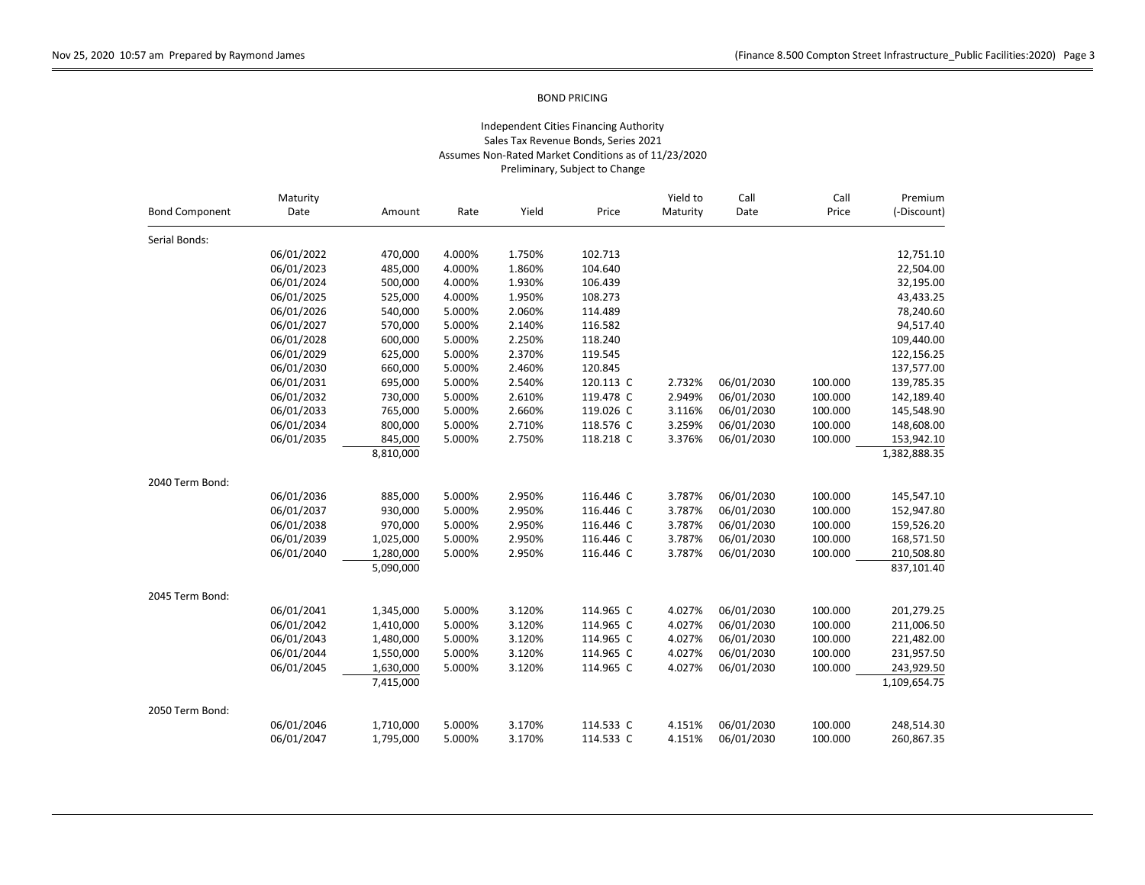| <b>Bond Component</b><br>Date<br>Yield<br>Price<br>Maturity<br>Rate<br>Date<br>Price<br>Amount<br>Serial Bonds:<br>06/01/2022<br>1.750%<br>102.713<br>470,000<br>4.000%<br>104.640<br>06/01/2023<br>485,000<br>4.000%<br>1.860%<br>06/01/2024<br>500,000<br>1.930%<br>106.439<br>4.000%<br>06/01/2025<br>4.000%<br>1.950%<br>108.273<br>525,000<br>06/01/2026<br>540,000<br>5.000%<br>2.060%<br>114.489<br>116.582<br>06/01/2027<br>570,000<br>5.000%<br>2.140%<br>06/01/2028<br>600,000<br>5.000%<br>2.250%<br>118.240<br>06/01/2029<br>625,000<br>5.000%<br>2.370%<br>119.545<br>06/01/2030<br>660,000<br>5.000%<br>2.460%<br>120.845<br>06/01/2031<br>5.000%<br>2.540%<br>120.113 C<br>2.732%<br>06/01/2030<br>100.000<br>695,000<br>06/01/2032<br>5.000%<br>2.610%<br>119.478 C<br>2.949%<br>06/01/2030<br>100.000<br>730,000<br>06/01/2033<br>5.000%<br>2.660%<br>119.026 C<br>3.116%<br>06/01/2030<br>100.000<br>765,000 | Maturity   |         |        |        |           | Yield to | Call       | Call    | Premium<br>(-Discount) |
|--------------------------------------------------------------------------------------------------------------------------------------------------------------------------------------------------------------------------------------------------------------------------------------------------------------------------------------------------------------------------------------------------------------------------------------------------------------------------------------------------------------------------------------------------------------------------------------------------------------------------------------------------------------------------------------------------------------------------------------------------------------------------------------------------------------------------------------------------------------------------------------------------------------------------------|------------|---------|--------|--------|-----------|----------|------------|---------|------------------------|
|                                                                                                                                                                                                                                                                                                                                                                                                                                                                                                                                                                                                                                                                                                                                                                                                                                                                                                                                |            |         |        |        |           |          |            |         |                        |
|                                                                                                                                                                                                                                                                                                                                                                                                                                                                                                                                                                                                                                                                                                                                                                                                                                                                                                                                |            |         |        |        |           |          |            |         |                        |
|                                                                                                                                                                                                                                                                                                                                                                                                                                                                                                                                                                                                                                                                                                                                                                                                                                                                                                                                |            |         |        |        |           |          |            |         | 12,751.10              |
|                                                                                                                                                                                                                                                                                                                                                                                                                                                                                                                                                                                                                                                                                                                                                                                                                                                                                                                                |            |         |        |        |           |          |            |         | 22,504.00              |
|                                                                                                                                                                                                                                                                                                                                                                                                                                                                                                                                                                                                                                                                                                                                                                                                                                                                                                                                |            |         |        |        |           |          |            |         | 32,195.00              |
|                                                                                                                                                                                                                                                                                                                                                                                                                                                                                                                                                                                                                                                                                                                                                                                                                                                                                                                                |            |         |        |        |           |          |            |         | 43,433.25              |
|                                                                                                                                                                                                                                                                                                                                                                                                                                                                                                                                                                                                                                                                                                                                                                                                                                                                                                                                |            |         |        |        |           |          |            |         | 78,240.60              |
|                                                                                                                                                                                                                                                                                                                                                                                                                                                                                                                                                                                                                                                                                                                                                                                                                                                                                                                                |            |         |        |        |           |          |            |         | 94,517.40              |
|                                                                                                                                                                                                                                                                                                                                                                                                                                                                                                                                                                                                                                                                                                                                                                                                                                                                                                                                |            |         |        |        |           |          |            |         | 109,440.00             |
|                                                                                                                                                                                                                                                                                                                                                                                                                                                                                                                                                                                                                                                                                                                                                                                                                                                                                                                                |            |         |        |        |           |          |            |         | 122,156.25             |
|                                                                                                                                                                                                                                                                                                                                                                                                                                                                                                                                                                                                                                                                                                                                                                                                                                                                                                                                |            |         |        |        |           |          |            |         | 137,577.00             |
|                                                                                                                                                                                                                                                                                                                                                                                                                                                                                                                                                                                                                                                                                                                                                                                                                                                                                                                                |            |         |        |        |           |          |            |         | 139,785.35             |
|                                                                                                                                                                                                                                                                                                                                                                                                                                                                                                                                                                                                                                                                                                                                                                                                                                                                                                                                |            |         |        |        |           |          |            |         | 142,189.40             |
|                                                                                                                                                                                                                                                                                                                                                                                                                                                                                                                                                                                                                                                                                                                                                                                                                                                                                                                                |            |         |        |        |           |          |            |         | 145,548.90             |
|                                                                                                                                                                                                                                                                                                                                                                                                                                                                                                                                                                                                                                                                                                                                                                                                                                                                                                                                | 06/01/2034 | 800,000 | 5.000% | 2.710% | 118.576 C | 3.259%   | 06/01/2030 | 100.000 | 148,608.00             |
| 3.376%<br>100.000<br>06/01/2035<br>845,000<br>5.000%<br>2.750%<br>118.218 C<br>06/01/2030                                                                                                                                                                                                                                                                                                                                                                                                                                                                                                                                                                                                                                                                                                                                                                                                                                      |            |         |        |        |           |          |            |         | 153,942.10             |
| 8,810,000                                                                                                                                                                                                                                                                                                                                                                                                                                                                                                                                                                                                                                                                                                                                                                                                                                                                                                                      |            |         |        |        |           |          |            |         | 1,382,888.35           |
| 2040 Term Bond:                                                                                                                                                                                                                                                                                                                                                                                                                                                                                                                                                                                                                                                                                                                                                                                                                                                                                                                |            |         |        |        |           |          |            |         |                        |
| 06/01/2036<br>06/01/2030<br>885,000<br>5.000%<br>2.950%<br>116.446 C<br>3.787%<br>100.000                                                                                                                                                                                                                                                                                                                                                                                                                                                                                                                                                                                                                                                                                                                                                                                                                                      |            |         |        |        |           |          |            |         | 145,547.10             |
| 06/01/2037<br>930,000<br>5.000%<br>2.950%<br>116.446 C<br>3.787%<br>06/01/2030<br>100.000                                                                                                                                                                                                                                                                                                                                                                                                                                                                                                                                                                                                                                                                                                                                                                                                                                      |            |         |        |        |           |          |            |         | 152,947.80             |
| 06/01/2038<br>2.950%<br>116.446 C<br>3.787%<br>100.000<br>970,000<br>5.000%<br>06/01/2030                                                                                                                                                                                                                                                                                                                                                                                                                                                                                                                                                                                                                                                                                                                                                                                                                                      |            |         |        |        |           |          |            |         | 159,526.20             |
| 116.446 C<br>3.787%<br>100.000<br>06/01/2039<br>1,025,000<br>5.000%<br>2.950%<br>06/01/2030                                                                                                                                                                                                                                                                                                                                                                                                                                                                                                                                                                                                                                                                                                                                                                                                                                    |            |         |        |        |           |          |            |         | 168,571.50             |
| 100.000<br>06/01/2040<br>1,280,000<br>5.000%<br>2.950%<br>116.446 C<br>3.787%<br>06/01/2030                                                                                                                                                                                                                                                                                                                                                                                                                                                                                                                                                                                                                                                                                                                                                                                                                                    |            |         |        |        |           |          |            |         | 210,508.80             |
| 5,090,000                                                                                                                                                                                                                                                                                                                                                                                                                                                                                                                                                                                                                                                                                                                                                                                                                                                                                                                      |            |         |        |        |           |          |            |         | 837,101.40             |
| 2045 Term Bond:                                                                                                                                                                                                                                                                                                                                                                                                                                                                                                                                                                                                                                                                                                                                                                                                                                                                                                                |            |         |        |        |           |          |            |         |                        |
| 06/01/2041<br>5.000%<br>114.965 C<br>4.027%<br>06/01/2030<br>100.000<br>1,345,000<br>3.120%                                                                                                                                                                                                                                                                                                                                                                                                                                                                                                                                                                                                                                                                                                                                                                                                                                    |            |         |        |        |           |          |            |         | 201,279.25             |
| 4.027%<br>100.000<br>06/01/2042<br>1,410,000<br>5.000%<br>3.120%<br>114.965 C<br>06/01/2030                                                                                                                                                                                                                                                                                                                                                                                                                                                                                                                                                                                                                                                                                                                                                                                                                                    |            |         |        |        |           |          |            |         | 211,006.50             |
| 4.027%<br>06/01/2043<br>5.000%<br>3.120%<br>114.965 C<br>06/01/2030<br>100.000<br>1,480,000                                                                                                                                                                                                                                                                                                                                                                                                                                                                                                                                                                                                                                                                                                                                                                                                                                    |            |         |        |        |           |          |            |         | 221,482.00             |
| 4.027%<br>100.000<br>06/01/2044<br>5.000%<br>3.120%<br>114.965 C<br>06/01/2030<br>1,550,000                                                                                                                                                                                                                                                                                                                                                                                                                                                                                                                                                                                                                                                                                                                                                                                                                                    |            |         |        |        |           |          |            |         | 231,957.50             |
| 4.027%<br>100.000<br>06/01/2045<br>1,630,000<br>5.000%<br>3.120%<br>114.965 C<br>06/01/2030                                                                                                                                                                                                                                                                                                                                                                                                                                                                                                                                                                                                                                                                                                                                                                                                                                    |            |         |        |        |           |          |            |         | 243,929.50             |
| 7,415,000                                                                                                                                                                                                                                                                                                                                                                                                                                                                                                                                                                                                                                                                                                                                                                                                                                                                                                                      |            |         |        |        |           |          |            |         | 1,109,654.75           |
| 2050 Term Bond:                                                                                                                                                                                                                                                                                                                                                                                                                                                                                                                                                                                                                                                                                                                                                                                                                                                                                                                |            |         |        |        |           |          |            |         |                        |
| 06/01/2046<br>1,710,000<br>5.000%<br>3.170%<br>114.533 C<br>4.151%<br>06/01/2030<br>100.000                                                                                                                                                                                                                                                                                                                                                                                                                                                                                                                                                                                                                                                                                                                                                                                                                                    |            |         |        |        |           |          |            |         | 248,514.30             |
| 4.151%<br>100.000<br>06/01/2047<br>1,795,000<br>5.000%<br>3.170%<br>114.533 C<br>06/01/2030                                                                                                                                                                                                                                                                                                                                                                                                                                                                                                                                                                                                                                                                                                                                                                                                                                    |            |         |        |        |           |          |            |         | 260,867.35             |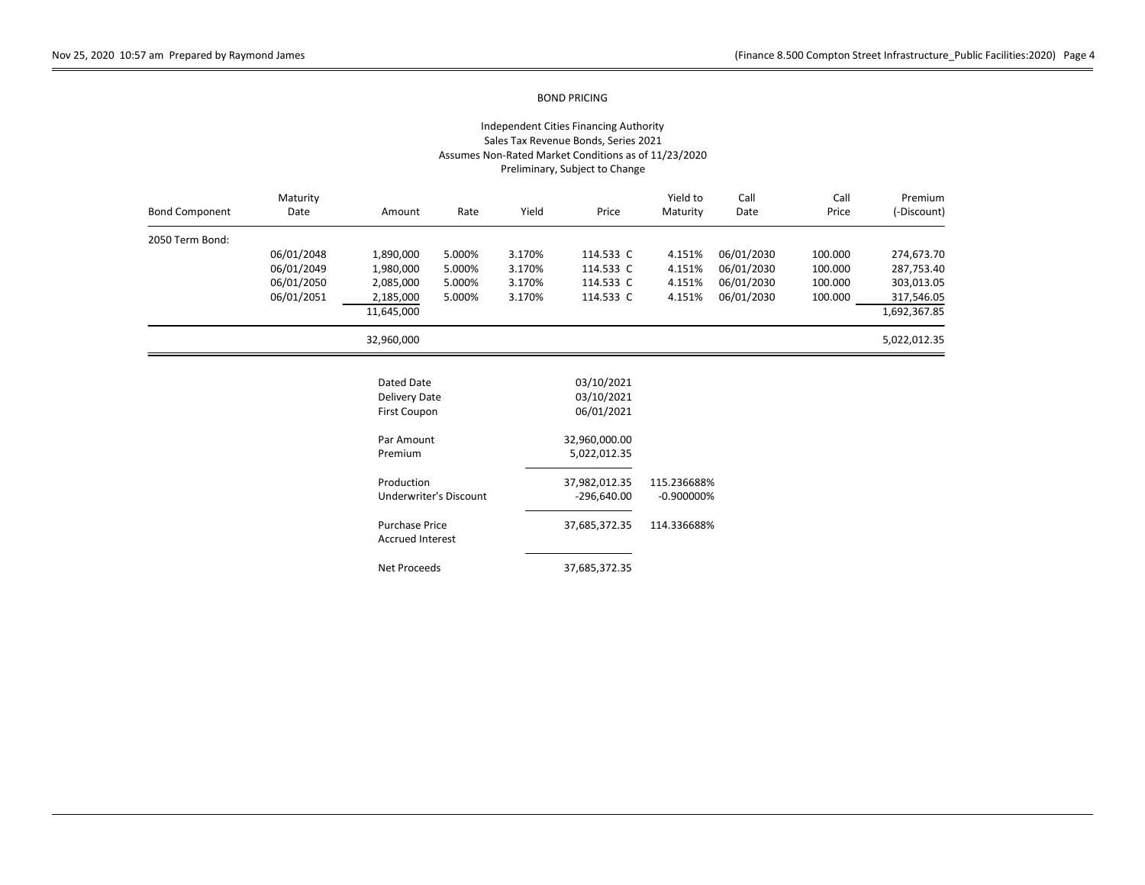### Independent Cities Financing Authority Sales Tax Revenue Bonds, Series 2021 Assumes Non-Rated Market Conditions as of 11/23/2020 Preliminary, Subject to Change

| <b>Bond Component</b> | Maturity<br>Date | Amount                                           | Rate                   | Yield  | Price         | Yield to<br>Maturity | Call<br>Date | Call<br>Price | Premium<br>(-Discount) |
|-----------------------|------------------|--------------------------------------------------|------------------------|--------|---------------|----------------------|--------------|---------------|------------------------|
| 2050 Term Bond:       |                  |                                                  |                        |        |               |                      |              |               |                        |
|                       | 06/01/2048       | 1,890,000                                        | 5.000%                 | 3.170% | 114.533 C     | 4.151%               | 06/01/2030   | 100.000       | 274,673.70             |
|                       | 06/01/2049       | 1,980,000                                        | 5.000%                 | 3.170% | 114.533 C     | 4.151%               | 06/01/2030   | 100.000       | 287,753.40             |
|                       | 06/01/2050       | 2,085,000                                        | 5.000%                 | 3.170% | 114.533 C     | 4.151%               | 06/01/2030   | 100.000       | 303,013.05             |
|                       | 06/01/2051       | 2,185,000                                        | 5.000%                 | 3.170% | 114.533 C     | 4.151%               | 06/01/2030   | 100.000       | 317,546.05             |
|                       |                  | 11,645,000                                       |                        |        |               |                      |              |               | 1,692,367.85           |
|                       |                  | 32,960,000                                       |                        |        |               |                      |              |               | 5,022,012.35           |
|                       |                  | Dated Date                                       |                        |        | 03/10/2021    |                      |              |               |                        |
|                       |                  | Delivery Date                                    |                        |        | 03/10/2021    |                      |              |               |                        |
|                       |                  | First Coupon                                     |                        |        | 06/01/2021    |                      |              |               |                        |
|                       |                  | Par Amount                                       |                        |        | 32,960,000.00 |                      |              |               |                        |
|                       |                  | Premium                                          |                        |        | 5,022,012.35  |                      |              |               |                        |
|                       |                  | Production                                       |                        |        | 37,982,012.35 | 115.236688%          |              |               |                        |
|                       |                  |                                                  | Underwriter's Discount |        | $-296,640.00$ | $-0.900000\%$        |              |               |                        |
|                       |                  | <b>Purchase Price</b><br><b>Accrued Interest</b> |                        |        | 37,685,372.35 | 114.336688%          |              |               |                        |

Net Proceeds 37,685,372.35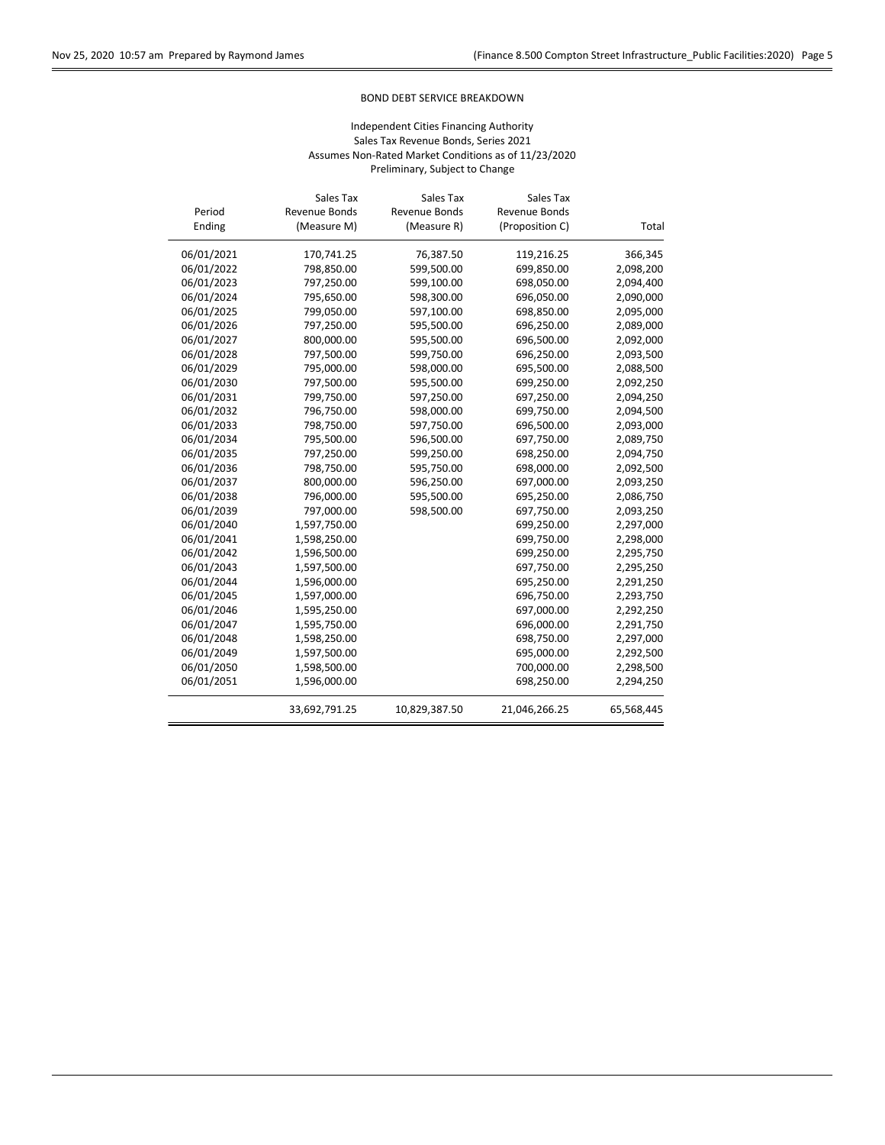$\overline{\phantom{0}}$ 

## BOND DEBT SERVICE BREAKDOWN

|            | Sales Tax     | Sales Tax     | Sales Tax       |            |
|------------|---------------|---------------|-----------------|------------|
| Period     | Revenue Bonds | Revenue Bonds | Revenue Bonds   |            |
| Ending     | (Measure M)   | (Measure R)   | (Proposition C) | Total      |
| 06/01/2021 | 170,741.25    | 76,387.50     | 119,216.25      | 366,345    |
| 06/01/2022 | 798,850.00    | 599,500.00    | 699,850.00      | 2,098,200  |
| 06/01/2023 | 797,250.00    | 599,100.00    | 698,050.00      | 2,094,400  |
| 06/01/2024 | 795,650.00    | 598,300.00    | 696,050.00      | 2,090,000  |
| 06/01/2025 | 799,050.00    | 597,100.00    | 698,850.00      | 2,095,000  |
| 06/01/2026 | 797,250.00    | 595,500.00    | 696,250.00      | 2,089,000  |
| 06/01/2027 | 800,000.00    | 595,500.00    | 696,500.00      | 2,092,000  |
| 06/01/2028 | 797,500.00    | 599,750.00    | 696,250.00      | 2,093,500  |
| 06/01/2029 | 795,000.00    | 598,000.00    | 695,500.00      | 2,088,500  |
| 06/01/2030 | 797,500.00    | 595,500.00    | 699,250.00      | 2,092,250  |
| 06/01/2031 | 799,750.00    | 597,250.00    | 697,250.00      | 2,094,250  |
| 06/01/2032 | 796,750.00    | 598,000.00    | 699,750.00      | 2,094,500  |
| 06/01/2033 | 798,750.00    | 597,750.00    | 696,500.00      | 2,093,000  |
| 06/01/2034 | 795,500.00    | 596,500.00    | 697,750.00      | 2,089,750  |
| 06/01/2035 | 797,250.00    | 599,250.00    | 698,250.00      | 2,094,750  |
| 06/01/2036 | 798,750.00    | 595,750.00    | 698,000.00      | 2,092,500  |
| 06/01/2037 | 800,000.00    | 596,250.00    | 697,000.00      | 2,093,250  |
| 06/01/2038 | 796,000.00    | 595,500.00    | 695,250.00      | 2,086,750  |
| 06/01/2039 | 797,000.00    | 598,500.00    | 697,750.00      | 2,093,250  |
| 06/01/2040 | 1,597,750.00  |               | 699,250.00      | 2,297,000  |
| 06/01/2041 | 1,598,250.00  |               | 699,750.00      | 2,298,000  |
| 06/01/2042 | 1,596,500.00  |               | 699,250.00      | 2,295,750  |
| 06/01/2043 | 1,597,500.00  |               | 697,750.00      | 2,295,250  |
| 06/01/2044 | 1,596,000.00  |               | 695,250.00      | 2,291,250  |
| 06/01/2045 | 1,597,000.00  |               | 696,750.00      | 2,293,750  |
| 06/01/2046 | 1,595,250.00  |               | 697,000.00      | 2,292,250  |
| 06/01/2047 | 1,595,750.00  |               | 696,000.00      | 2,291,750  |
| 06/01/2048 | 1,598,250.00  |               | 698,750.00      | 2,297,000  |
| 06/01/2049 | 1,597,500.00  |               | 695,000.00      | 2,292,500  |
| 06/01/2050 | 1,598,500.00  |               | 700,000.00      | 2,298,500  |
| 06/01/2051 | 1,596,000.00  |               | 698,250.00      | 2,294,250  |
|            | 33,692,791.25 | 10,829,387.50 | 21,046,266.25   | 65,568,445 |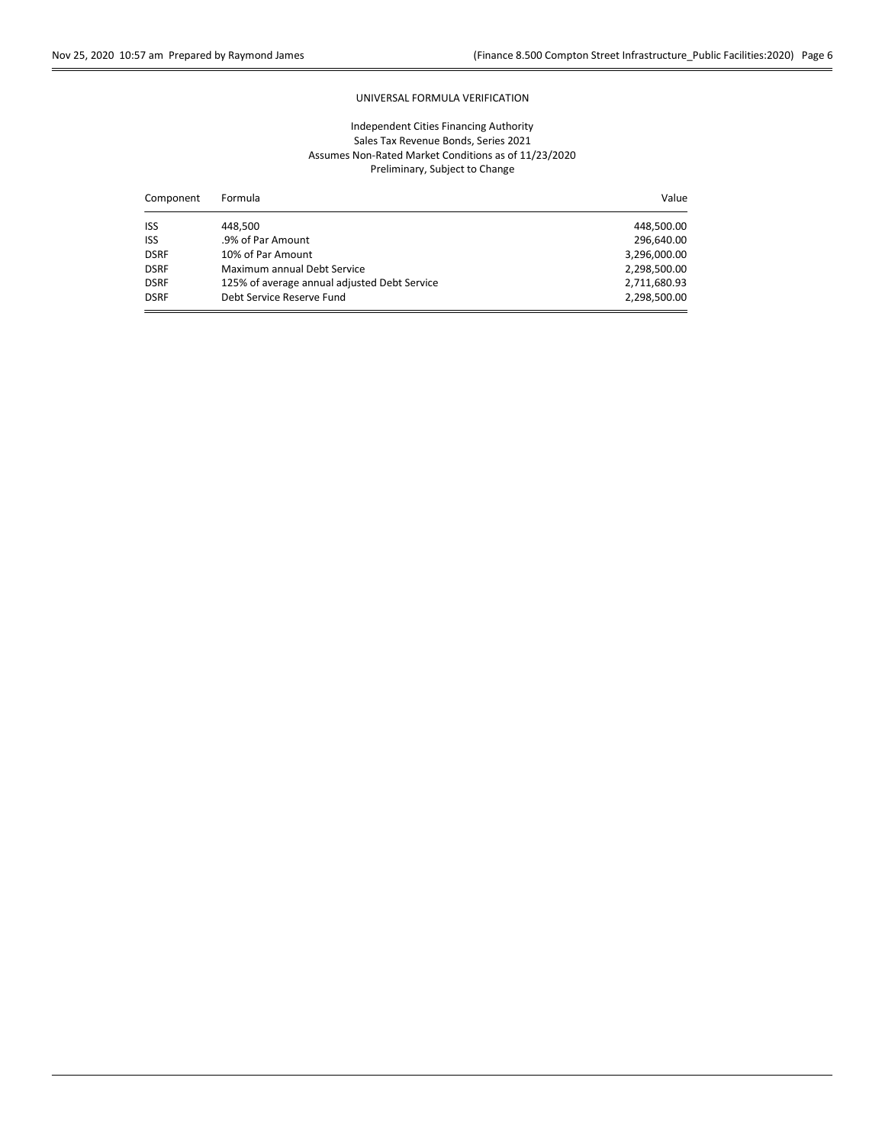## UNIVERSAL FORMULA VERIFICATION

| Component   | Formula                                      | Value        |
|-------------|----------------------------------------------|--------------|
| <b>ISS</b>  | 448.500                                      | 448,500.00   |
| <b>ISS</b>  | .9% of Par Amount                            | 296,640.00   |
| <b>DSRF</b> | 10% of Par Amount                            | 3,296,000.00 |
| <b>DSRF</b> | Maximum annual Debt Service                  | 2,298,500.00 |
| <b>DSRF</b> | 125% of average annual adjusted Debt Service | 2,711,680.93 |
| <b>DSRF</b> | Debt Service Reserve Fund                    | 2,298,500.00 |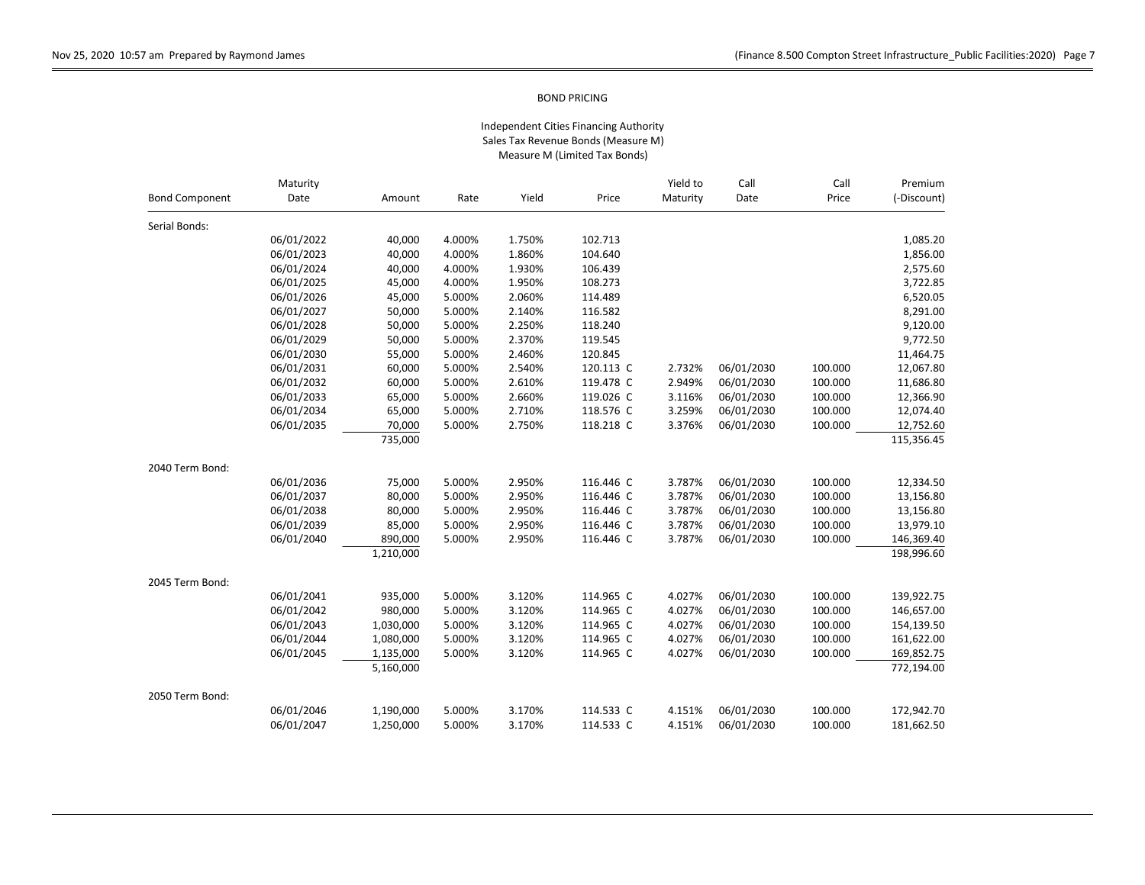|                       | Maturity   |           |        |        |           | Yield to | Call       | Call    | Premium<br>(-Discount) |
|-----------------------|------------|-----------|--------|--------|-----------|----------|------------|---------|------------------------|
| <b>Bond Component</b> | Date       | Amount    | Rate   | Yield  | Price     | Maturity | Date       | Price   |                        |
| Serial Bonds:         |            |           |        |        |           |          |            |         |                        |
|                       | 06/01/2022 | 40,000    | 4.000% | 1.750% | 102.713   |          |            |         | 1,085.20               |
|                       | 06/01/2023 | 40,000    | 4.000% | 1.860% | 104.640   |          |            |         | 1,856.00               |
|                       | 06/01/2024 | 40,000    | 4.000% | 1.930% | 106.439   |          |            |         | 2,575.60               |
|                       | 06/01/2025 | 45,000    | 4.000% | 1.950% | 108.273   |          |            |         | 3,722.85               |
|                       | 06/01/2026 | 45,000    | 5.000% | 2.060% | 114.489   |          |            |         | 6,520.05               |
|                       | 06/01/2027 | 50,000    | 5.000% | 2.140% | 116.582   |          |            |         | 8,291.00               |
|                       | 06/01/2028 | 50,000    | 5.000% | 2.250% | 118.240   |          |            |         | 9,120.00               |
|                       | 06/01/2029 | 50,000    | 5.000% | 2.370% | 119.545   |          |            |         | 9,772.50               |
|                       | 06/01/2030 | 55,000    | 5.000% | 2.460% | 120.845   |          |            |         | 11,464.75              |
|                       | 06/01/2031 | 60,000    | 5.000% | 2.540% | 120.113 C | 2.732%   | 06/01/2030 | 100.000 | 12,067.80              |
|                       | 06/01/2032 | 60,000    | 5.000% | 2.610% | 119.478 C | 2.949%   | 06/01/2030 | 100.000 | 11,686.80              |
|                       | 06/01/2033 | 65,000    | 5.000% | 2.660% | 119.026 C | 3.116%   | 06/01/2030 | 100.000 | 12,366.90              |
|                       | 06/01/2034 | 65,000    | 5.000% | 2.710% | 118.576 C | 3.259%   | 06/01/2030 | 100.000 | 12,074.40              |
|                       | 06/01/2035 | 70,000    | 5.000% | 2.750% | 118.218 C | 3.376%   | 06/01/2030 | 100.000 | 12,752.60              |
|                       |            | 735,000   |        |        |           |          |            |         | 115,356.45             |
| 2040 Term Bond:       |            |           |        |        |           |          |            |         |                        |
|                       | 06/01/2036 | 75,000    | 5.000% | 2.950% | 116.446 C | 3.787%   | 06/01/2030 | 100.000 | 12,334.50              |
|                       | 06/01/2037 | 80,000    | 5.000% | 2.950% | 116.446 C | 3.787%   | 06/01/2030 | 100.000 | 13,156.80              |
|                       | 06/01/2038 | 80,000    | 5.000% | 2.950% | 116.446 C | 3.787%   | 06/01/2030 | 100.000 | 13,156.80              |
|                       | 06/01/2039 | 85,000    | 5.000% | 2.950% | 116.446 C | 3.787%   | 06/01/2030 | 100.000 | 13,979.10              |
|                       | 06/01/2040 | 890,000   | 5.000% | 2.950% | 116.446 C | 3.787%   | 06/01/2030 | 100.000 | 146,369.40             |
|                       |            | 1,210,000 |        |        |           |          |            |         | 198,996.60             |
| 2045 Term Bond:       |            |           |        |        |           |          |            |         |                        |
|                       | 06/01/2041 | 935,000   | 5.000% | 3.120% | 114.965 C | 4.027%   | 06/01/2030 | 100.000 | 139,922.75             |
|                       | 06/01/2042 | 980,000   | 5.000% | 3.120% | 114.965 C | 4.027%   | 06/01/2030 | 100.000 | 146,657.00             |
|                       | 06/01/2043 | 1,030,000 | 5.000% | 3.120% | 114.965 C | 4.027%   | 06/01/2030 | 100.000 | 154,139.50             |
|                       | 06/01/2044 | 1,080,000 | 5.000% | 3.120% | 114.965 C | 4.027%   | 06/01/2030 | 100.000 | 161,622.00             |
|                       | 06/01/2045 | 1,135,000 | 5.000% | 3.120% | 114.965 C | 4.027%   | 06/01/2030 | 100.000 | 169,852.75             |
|                       |            | 5,160,000 |        |        |           |          |            |         | 772,194.00             |
| 2050 Term Bond:       |            |           |        |        |           |          |            |         |                        |
|                       | 06/01/2046 | 1,190,000 | 5.000% | 3.170% | 114.533 C | 4.151%   | 06/01/2030 | 100.000 | 172,942.70             |
|                       | 06/01/2047 | 1,250,000 | 5.000% | 3.170% | 114.533 C | 4.151%   | 06/01/2030 | 100.000 | 181,662.50             |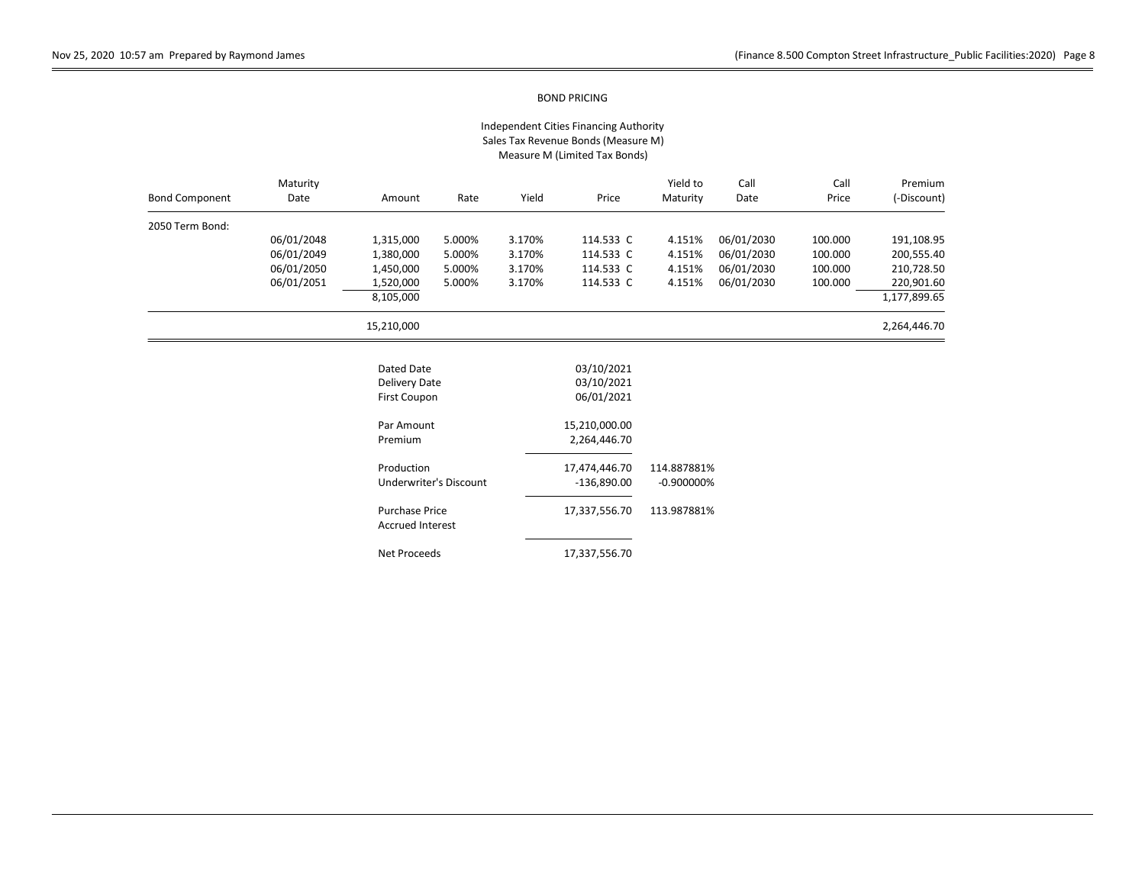| <b>Bond Component</b> | Maturity<br>Date | Amount                                             | Rate                          | Yield  | Price                                  | Yield to<br>Maturity | Call<br>Date | Call<br>Price | Premium<br>(-Discount) |
|-----------------------|------------------|----------------------------------------------------|-------------------------------|--------|----------------------------------------|----------------------|--------------|---------------|------------------------|
| 2050 Term Bond:       |                  |                                                    |                               |        |                                        |                      |              |               |                        |
|                       | 06/01/2048       | 1,315,000                                          | 5.000%                        | 3.170% | 114.533 C                              | 4.151%               | 06/01/2030   | 100.000       | 191,108.95             |
|                       | 06/01/2049       | 1,380,000                                          | 5.000%                        | 3.170% | 114.533 C                              | 4.151%               | 06/01/2030   | 100.000       | 200,555.40             |
|                       | 06/01/2050       | 1,450,000                                          | 5.000%                        | 3.170% | 114.533 C                              | 4.151%               | 06/01/2030   | 100.000       | 210,728.50             |
|                       | 06/01/2051       | 1,520,000                                          | 5.000%                        | 3.170% | 114.533 C                              | 4.151%               | 06/01/2030   | 100.000       | 220,901.60             |
|                       |                  | 8,105,000                                          |                               |        |                                        |                      |              |               | 1,177,899.65           |
|                       |                  | 15,210,000                                         |                               |        |                                        |                      |              |               | 2,264,446.70           |
|                       |                  | Dated Date<br>Delivery Date<br><b>First Coupon</b> |                               |        | 03/10/2021<br>03/10/2021<br>06/01/2021 |                      |              |               |                        |
|                       |                  | Par Amount                                         |                               |        | 15,210,000.00                          |                      |              |               |                        |
|                       |                  | Premium                                            |                               |        | 2,264,446.70                           |                      |              |               |                        |
|                       |                  | Production                                         |                               |        | 17,474,446.70                          | 114.887881%          |              |               |                        |
|                       |                  |                                                    | <b>Underwriter's Discount</b> |        | $-136,890.00$                          | $-0.900000%$         |              |               |                        |
|                       |                  | <b>Purchase Price</b><br><b>Accrued Interest</b>   |                               |        | 17,337,556.70                          | 113.987881%          |              |               |                        |
|                       |                  | Net Proceeds                                       |                               |        | 17,337,556.70                          |                      |              |               |                        |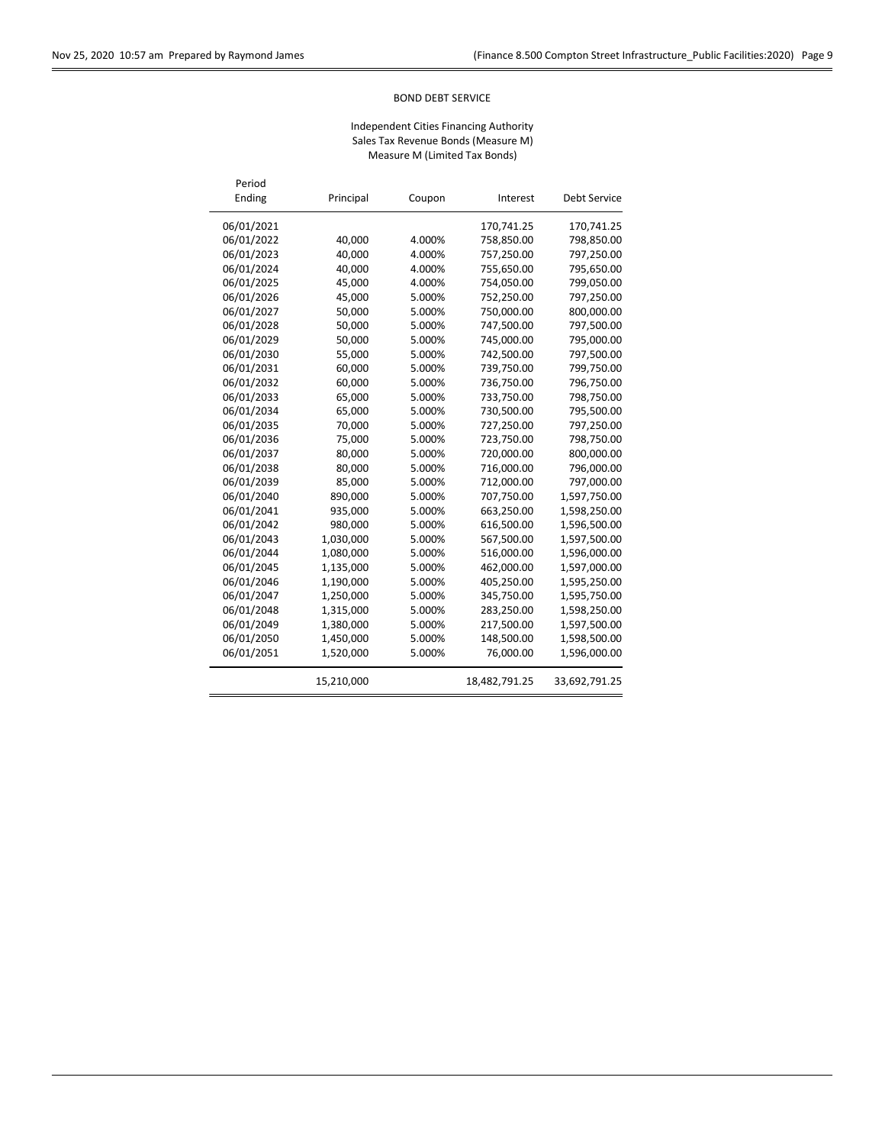$\overline{a}$ 

 $\overline{\phantom{a}}$ 

## BOND DEBT SERVICE

| Period<br>Ending | Principal  | Coupon | Interest      | <b>Debt Service</b> |
|------------------|------------|--------|---------------|---------------------|
| 06/01/2021       |            |        | 170,741.25    | 170,741.25          |
| 06/01/2022       | 40.000     | 4.000% | 758,850.00    | 798,850.00          |
| 06/01/2023       | 40.000     | 4.000% | 757,250.00    | 797,250.00          |
| 06/01/2024       | 40,000     | 4.000% | 755,650.00    | 795,650.00          |
| 06/01/2025       | 45,000     | 4.000% | 754,050.00    | 799,050.00          |
| 06/01/2026       | 45,000     | 5.000% | 752,250.00    | 797,250.00          |
| 06/01/2027       | 50,000     | 5.000% | 750,000.00    | 800,000.00          |
| 06/01/2028       | 50,000     | 5.000% | 747,500.00    | 797,500.00          |
| 06/01/2029       | 50,000     | 5.000% | 745,000.00    | 795,000.00          |
| 06/01/2030       | 55,000     | 5.000% | 742,500.00    | 797,500.00          |
| 06/01/2031       | 60,000     | 5.000% | 739,750.00    | 799,750.00          |
| 06/01/2032       | 60,000     | 5.000% | 736,750.00    | 796,750.00          |
| 06/01/2033       | 65,000     | 5.000% | 733,750.00    | 798,750.00          |
| 06/01/2034       | 65,000     | 5.000% | 730,500.00    | 795,500.00          |
| 06/01/2035       | 70,000     | 5.000% | 727,250.00    | 797,250.00          |
| 06/01/2036       | 75,000     | 5.000% | 723,750.00    | 798,750.00          |
| 06/01/2037       | 80,000     | 5.000% | 720,000.00    | 800,000.00          |
| 06/01/2038       | 80,000     | 5.000% | 716,000.00    | 796,000.00          |
| 06/01/2039       | 85,000     | 5.000% | 712,000.00    | 797,000.00          |
| 06/01/2040       | 890,000    | 5.000% | 707,750.00    | 1,597,750.00        |
| 06/01/2041       | 935,000    | 5.000% | 663,250.00    | 1,598,250.00        |
| 06/01/2042       | 980,000    | 5.000% | 616,500.00    | 1,596,500.00        |
| 06/01/2043       | 1,030,000  | 5.000% | 567,500.00    | 1,597,500.00        |
| 06/01/2044       | 1,080,000  | 5.000% | 516,000.00    | 1,596,000.00        |
| 06/01/2045       | 1,135,000  | 5.000% | 462,000.00    | 1,597,000.00        |
| 06/01/2046       | 1,190,000  | 5.000% | 405,250.00    | 1,595,250.00        |
| 06/01/2047       | 1,250,000  | 5.000% | 345,750.00    | 1,595,750.00        |
| 06/01/2048       | 1,315,000  | 5.000% | 283,250.00    | 1,598,250.00        |
| 06/01/2049       | 1,380,000  | 5.000% | 217,500.00    | 1,597,500.00        |
| 06/01/2050       | 1,450,000  | 5.000% | 148,500.00    | 1,598,500.00        |
| 06/01/2051       | 1,520,000  | 5.000% | 76,000.00     | 1,596,000.00        |
|                  | 15,210,000 |        | 18,482,791.25 | 33,692,791.25       |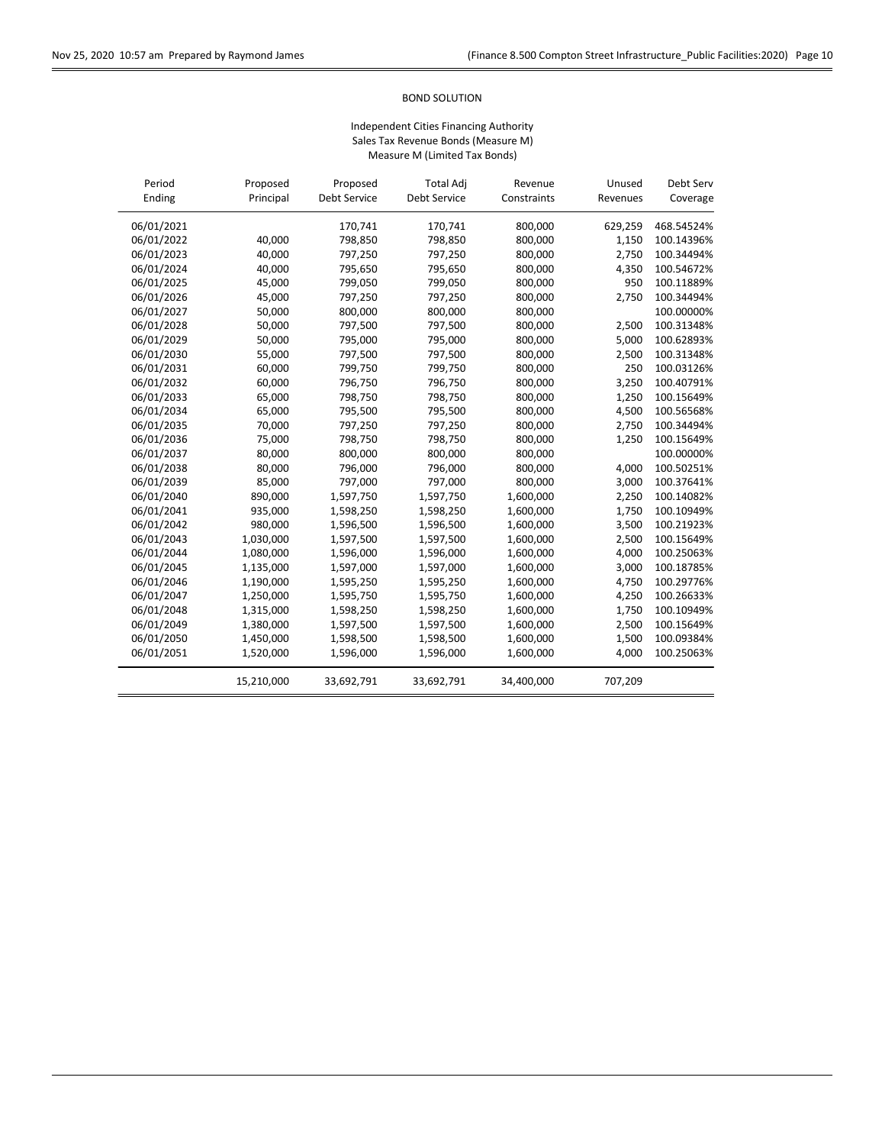## BOND SOLUTION

| Period     | Proposed   | Proposed     | <b>Total Adj</b> | Revenue     | Unused   | Debt Serv  |
|------------|------------|--------------|------------------|-------------|----------|------------|
| Ending     | Principal  | Debt Service | Debt Service     | Constraints | Revenues | Coverage   |
| 06/01/2021 |            | 170,741      | 170,741          | 800,000     | 629,259  | 468.54524% |
| 06/01/2022 | 40,000     | 798,850      | 798,850          | 800,000     | 1,150    | 100.14396% |
| 06/01/2023 | 40,000     | 797,250      | 797,250          | 800,000     | 2,750    | 100.34494% |
| 06/01/2024 | 40,000     | 795,650      | 795,650          | 800,000     | 4,350    | 100.54672% |
| 06/01/2025 | 45,000     | 799,050      | 799,050          | 800,000     | 950      | 100.11889% |
| 06/01/2026 | 45,000     | 797,250      | 797,250          | 800,000     | 2,750    | 100.34494% |
| 06/01/2027 | 50,000     | 800,000      | 800,000          | 800,000     |          | 100.00000% |
| 06/01/2028 | 50,000     | 797,500      | 797,500          | 800,000     | 2,500    | 100.31348% |
| 06/01/2029 | 50,000     | 795,000      | 795,000          | 800,000     | 5,000    | 100.62893% |
| 06/01/2030 | 55,000     | 797,500      | 797,500          | 800,000     | 2,500    | 100.31348% |
| 06/01/2031 | 60,000     | 799,750      | 799,750          | 800,000     | 250      | 100.03126% |
| 06/01/2032 | 60,000     | 796,750      | 796,750          | 800,000     | 3,250    | 100.40791% |
| 06/01/2033 | 65,000     | 798,750      | 798,750          | 800,000     | 1,250    | 100.15649% |
| 06/01/2034 | 65,000     | 795,500      | 795,500          | 800,000     | 4,500    | 100.56568% |
| 06/01/2035 | 70,000     | 797,250      | 797,250          | 800,000     | 2,750    | 100.34494% |
| 06/01/2036 | 75,000     | 798,750      | 798,750          | 800,000     | 1,250    | 100.15649% |
| 06/01/2037 | 80,000     | 800,000      | 800,000          | 800,000     |          | 100.00000% |
| 06/01/2038 | 80,000     | 796,000      | 796,000          | 800,000     | 4,000    | 100.50251% |
| 06/01/2039 | 85,000     | 797,000      | 797,000          | 800,000     | 3,000    | 100.37641% |
| 06/01/2040 | 890,000    | 1,597,750    | 1,597,750        | 1,600,000   | 2,250    | 100.14082% |
| 06/01/2041 | 935,000    | 1,598,250    | 1,598,250        | 1,600,000   | 1,750    | 100.10949% |
| 06/01/2042 | 980,000    | 1,596,500    | 1,596,500        | 1,600,000   | 3,500    | 100.21923% |
| 06/01/2043 | 1,030,000  | 1,597,500    | 1,597,500        | 1,600,000   | 2,500    | 100.15649% |
| 06/01/2044 | 1,080,000  | 1,596,000    | 1,596,000        | 1,600,000   | 4,000    | 100.25063% |
| 06/01/2045 | 1,135,000  | 1,597,000    | 1,597,000        | 1,600,000   | 3,000    | 100.18785% |
| 06/01/2046 | 1,190,000  | 1,595,250    | 1,595,250        | 1,600,000   | 4,750    | 100.29776% |
| 06/01/2047 | 1,250,000  | 1,595,750    | 1,595,750        | 1,600,000   | 4,250    | 100.26633% |
| 06/01/2048 | 1,315,000  | 1,598,250    | 1,598,250        | 1,600,000   | 1,750    | 100.10949% |
| 06/01/2049 | 1,380,000  | 1,597,500    | 1,597,500        | 1,600,000   | 2,500    | 100.15649% |
| 06/01/2050 | 1,450,000  | 1,598,500    | 1,598,500        | 1,600,000   | 1,500    | 100.09384% |
| 06/01/2051 | 1,520,000  | 1,596,000    | 1,596,000        | 1,600,000   | 4,000    | 100.25063% |
|            | 15,210,000 | 33,692,791   | 33,692,791       | 34,400,000  | 707,209  |            |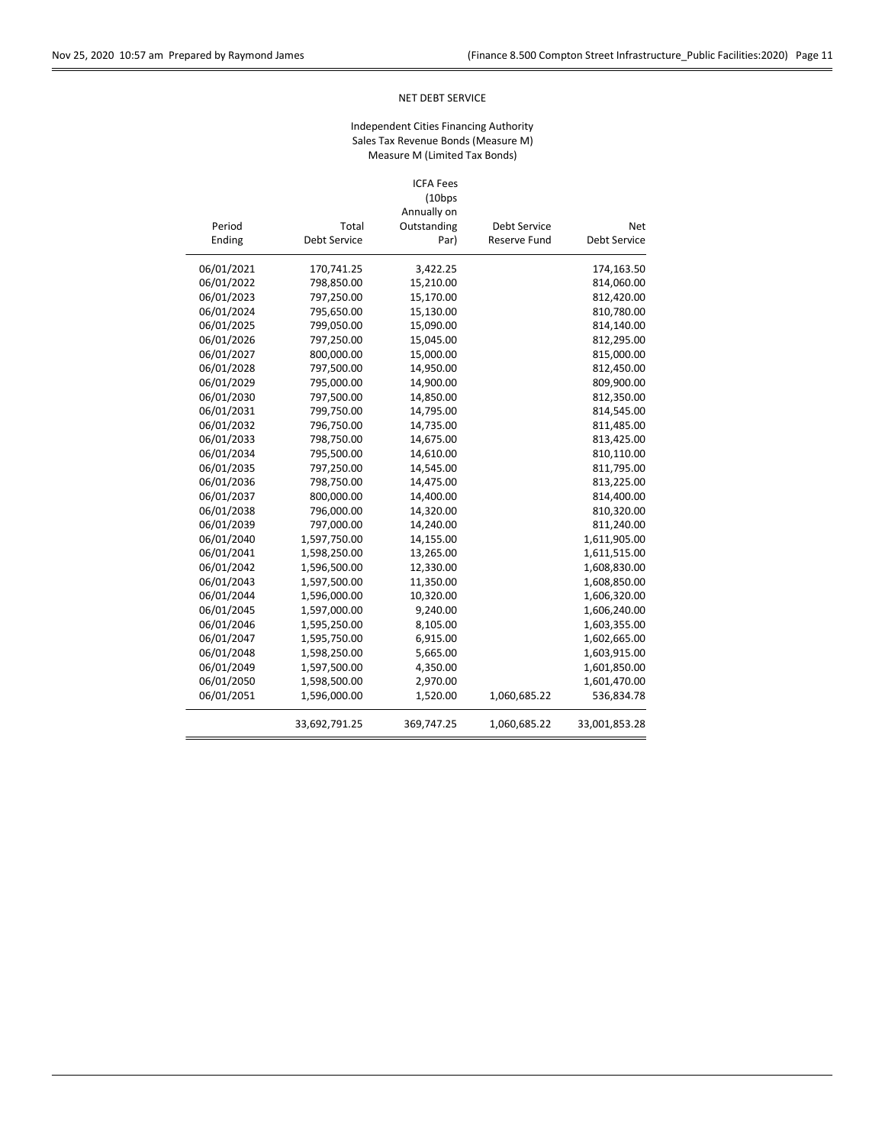## NET DEBT SERVICE

# Independent Cities Financing Authority Sales Tax Revenue Bonds (Measure M) Measure M (Limited Tax Bonds)

#### ICFA Fees (10bps

|                     |                     | Annually on |                     |            |
|---------------------|---------------------|-------------|---------------------|------------|
| <b>Net</b>          | Debt Service        | Outstanding | Total               | Period     |
| <b>Debt Service</b> | <b>Reserve Fund</b> | Par)        | <b>Debt Service</b> | Ending     |
| 174,163.50          |                     | 3,422.25    | 170,741.25          | 06/01/2021 |
| 814,060.00          |                     | 15,210.00   | 798,850.00          | 06/01/2022 |
| 812,420.00          |                     | 15,170.00   | 797,250.00          | 06/01/2023 |
| 810,780.00          |                     | 15,130.00   | 795,650.00          | 06/01/2024 |
| 814,140.00          |                     | 15,090.00   | 799,050.00          | 06/01/2025 |
| 812,295.00          |                     | 15,045.00   | 797,250.00          | 06/01/2026 |
| 815,000.00          |                     | 15,000.00   | 800,000.00          | 06/01/2027 |
| 812,450.00          |                     | 14,950.00   | 797,500.00          | 06/01/2028 |
| 809,900.00          |                     | 14,900.00   | 795,000.00          | 06/01/2029 |
| 812,350.00          |                     | 14,850.00   | 797,500.00          | 06/01/2030 |
| 814,545.00          |                     | 14,795.00   | 799,750.00          | 06/01/2031 |
| 811,485.00          |                     | 14,735.00   | 796,750.00          | 06/01/2032 |
| 813,425.00          |                     | 14,675.00   | 798,750.00          | 06/01/2033 |
| 810,110.00          |                     | 14,610.00   | 795,500.00          | 06/01/2034 |
| 811,795.00          |                     | 14,545.00   | 797,250.00          | 06/01/2035 |
| 813,225.00          |                     | 14,475.00   | 798,750.00          | 06/01/2036 |
| 814,400.00          |                     | 14,400.00   | 800,000.00          | 06/01/2037 |
| 810,320.00          |                     | 14,320.00   | 796,000.00          | 06/01/2038 |
| 811,240.00          |                     | 14,240.00   | 797,000.00          | 06/01/2039 |
| 1,611,905.00        |                     | 14,155.00   | 1,597,750.00        | 06/01/2040 |
| 1,611,515.00        |                     | 13,265.00   | 1,598,250.00        | 06/01/2041 |
| 1,608,830.00        |                     | 12,330.00   | 1,596,500.00        | 06/01/2042 |
| 1,608,850.00        |                     | 11,350.00   | 1,597,500.00        | 06/01/2043 |
| 1,606,320.00        |                     | 10,320.00   | 1,596,000.00        | 06/01/2044 |
| 1,606,240.00        |                     | 9,240.00    | 1,597,000.00        | 06/01/2045 |
| 1,603,355.00        |                     | 8,105.00    | 1,595,250.00        | 06/01/2046 |
| 1,602,665.00        |                     | 6,915.00    | 1,595,750.00        | 06/01/2047 |
| 1,603,915.00        |                     | 5,665.00    | 1,598,250.00        | 06/01/2048 |
| 1,601,850.00        |                     | 4,350.00    | 1,597,500.00        | 06/01/2049 |
| 1,601,470.00        |                     | 2,970.00    | 1,598,500.00        | 06/01/2050 |
| 536,834.78          | 1,060,685.22        | 1,520.00    | 1,596,000.00        | 06/01/2051 |
| 33,001,853.28       | 1,060,685.22        | 369,747.25  | 33,692,791.25       |            |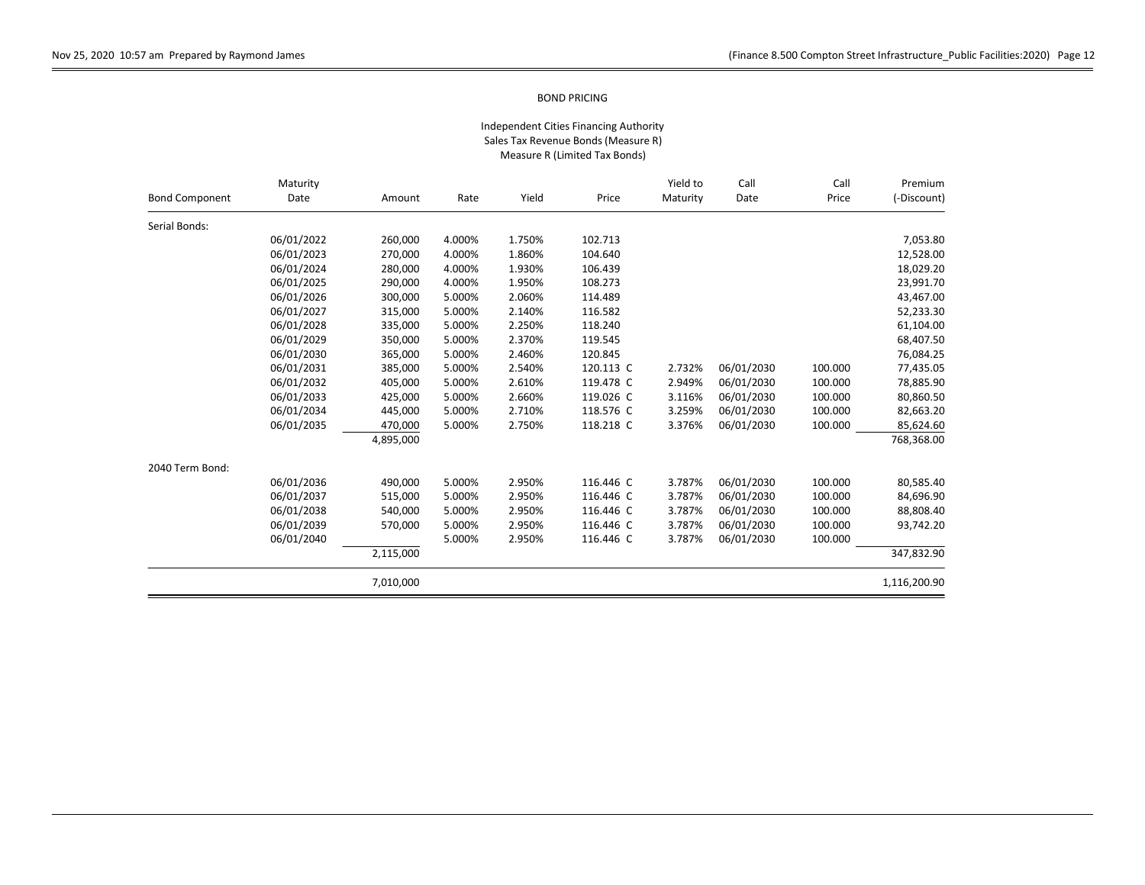|                       | Maturity   |           |        |        |           | Yield to | Call<br>Call | Premium |              |
|-----------------------|------------|-----------|--------|--------|-----------|----------|--------------|---------|--------------|
| <b>Bond Component</b> | Date       | Amount    | Rate   | Yield  | Price     | Maturity | Date         | Price   | (-Discount)  |
| Serial Bonds:         |            |           |        |        |           |          |              |         |              |
|                       | 06/01/2022 | 260,000   | 4.000% | 1.750% | 102.713   |          |              |         | 7,053.80     |
|                       | 06/01/2023 | 270,000   | 4.000% | 1.860% | 104.640   |          |              |         | 12,528.00    |
|                       | 06/01/2024 | 280,000   | 4.000% | 1.930% | 106.439   |          |              |         | 18,029.20    |
|                       | 06/01/2025 | 290,000   | 4.000% | 1.950% | 108.273   |          |              |         | 23,991.70    |
|                       | 06/01/2026 | 300,000   | 5.000% | 2.060% | 114.489   |          |              |         | 43,467.00    |
|                       | 06/01/2027 | 315,000   | 5.000% | 2.140% | 116.582   |          |              |         | 52,233.30    |
|                       | 06/01/2028 | 335,000   | 5.000% | 2.250% | 118.240   |          |              |         | 61,104.00    |
|                       | 06/01/2029 | 350,000   | 5.000% | 2.370% | 119.545   |          |              |         | 68,407.50    |
|                       | 06/01/2030 | 365,000   | 5.000% | 2.460% | 120.845   |          |              |         | 76,084.25    |
|                       | 06/01/2031 | 385,000   | 5.000% | 2.540% | 120.113 C | 2.732%   | 06/01/2030   | 100.000 | 77,435.05    |
|                       | 06/01/2032 | 405,000   | 5.000% | 2.610% | 119.478 C | 2.949%   | 06/01/2030   | 100.000 | 78,885.90    |
|                       | 06/01/2033 | 425,000   | 5.000% | 2.660% | 119.026 C | 3.116%   | 06/01/2030   | 100.000 | 80,860.50    |
|                       | 06/01/2034 | 445,000   | 5.000% | 2.710% | 118.576 C | 3.259%   | 06/01/2030   | 100.000 | 82,663.20    |
|                       | 06/01/2035 | 470,000   | 5.000% | 2.750% | 118.218 C | 3.376%   | 06/01/2030   | 100.000 | 85,624.60    |
|                       |            | 4,895,000 |        |        |           |          |              |         | 768,368.00   |
| 2040 Term Bond:       |            |           |        |        |           |          |              |         |              |
|                       | 06/01/2036 | 490,000   | 5.000% | 2.950% | 116.446 C | 3.787%   | 06/01/2030   | 100.000 | 80,585.40    |
|                       | 06/01/2037 | 515,000   | 5.000% | 2.950% | 116.446 C | 3.787%   | 06/01/2030   | 100.000 | 84,696.90    |
|                       | 06/01/2038 | 540,000   | 5.000% | 2.950% | 116.446 C | 3.787%   | 06/01/2030   | 100.000 | 88,808.40    |
|                       | 06/01/2039 | 570,000   | 5.000% | 2.950% | 116.446 C | 3.787%   | 06/01/2030   | 100.000 | 93,742.20    |
|                       | 06/01/2040 |           | 5.000% | 2.950% | 116.446 C | 3.787%   | 06/01/2030   | 100.000 |              |
|                       |            | 2,115,000 |        |        |           |          |              |         | 347,832.90   |
|                       |            | 7,010,000 |        |        |           |          |              |         | 1,116,200.90 |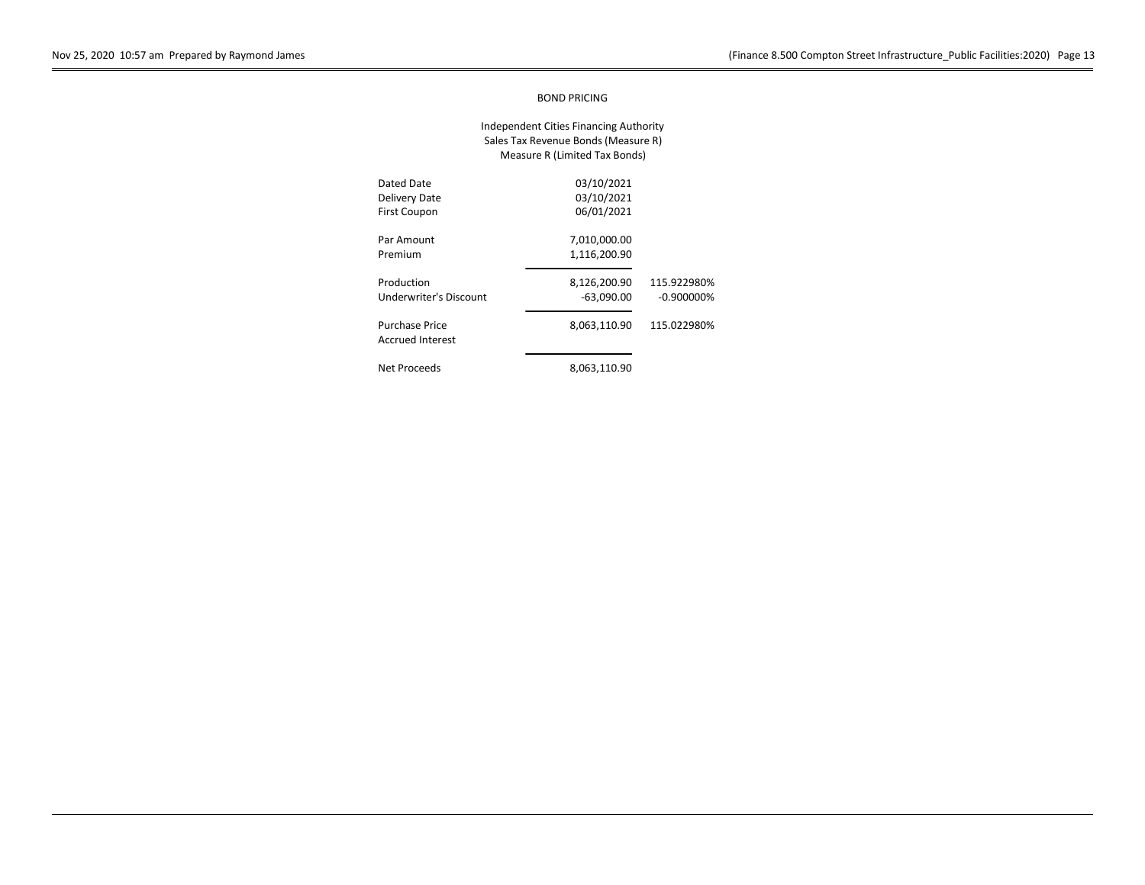| Dated Date<br>Delivery Date<br><b>First Coupon</b> | 03/10/2021<br>03/10/2021<br>06/01/2021 |                              |
|----------------------------------------------------|----------------------------------------|------------------------------|
| Par Amount<br>Premium                              | 7,010,000.00<br>1,116,200.90           |                              |
| Production<br><b>Underwriter's Discount</b>        | 8.126.200.90<br>$-63,090.00$           | 115.922980%<br>$-0.900000\%$ |
| <b>Purchase Price</b><br><b>Accrued Interest</b>   | 8,063,110.90                           | 115.022980%                  |
| Net Proceeds                                       | 8.063.110.90                           |                              |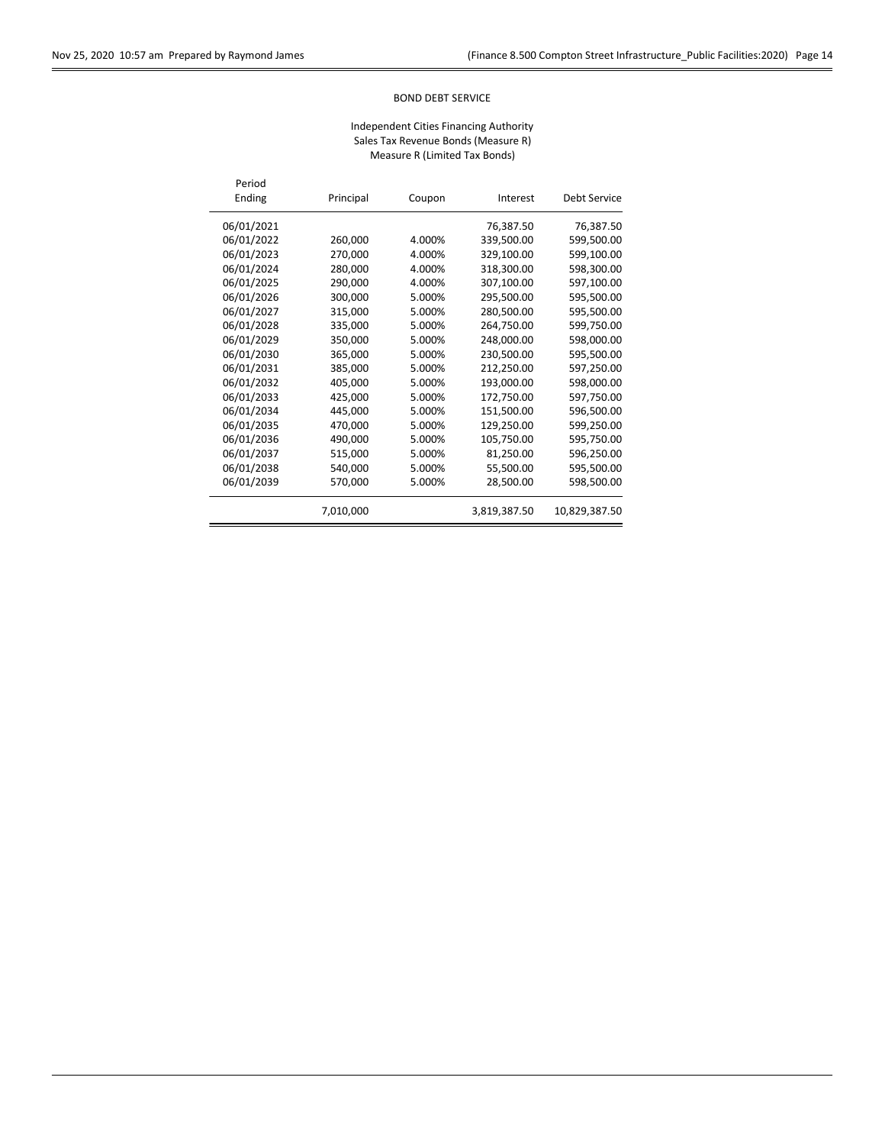## BOND DEBT SERVICE

| Period<br>Ending | Principal | Coupon | Interest     | Debt Service  |
|------------------|-----------|--------|--------------|---------------|
| 06/01/2021       |           |        | 76,387.50    | 76,387.50     |
| 06/01/2022       | 260,000   | 4.000% | 339,500.00   | 599,500.00    |
| 06/01/2023       | 270,000   | 4.000% | 329,100.00   | 599,100.00    |
| 06/01/2024       | 280,000   | 4.000% | 318,300.00   | 598,300.00    |
| 06/01/2025       | 290,000   | 4.000% | 307,100.00   | 597,100.00    |
| 06/01/2026       | 300.000   | 5.000% | 295,500.00   | 595,500.00    |
| 06/01/2027       | 315,000   | 5.000% | 280,500.00   | 595,500.00    |
| 06/01/2028       | 335,000   | 5.000% | 264,750.00   | 599,750.00    |
| 06/01/2029       | 350,000   | 5.000% | 248,000.00   | 598,000.00    |
| 06/01/2030       | 365,000   | 5.000% | 230,500.00   | 595,500.00    |
| 06/01/2031       | 385,000   | 5.000% | 212,250.00   | 597,250.00    |
| 06/01/2032       | 405,000   | 5.000% | 193,000.00   | 598,000.00    |
| 06/01/2033       | 425,000   | 5.000% | 172,750.00   | 597,750.00    |
| 06/01/2034       | 445,000   | 5.000% | 151,500.00   | 596,500.00    |
| 06/01/2035       | 470,000   | 5.000% | 129,250.00   | 599,250.00    |
| 06/01/2036       | 490,000   | 5.000% | 105,750.00   | 595,750.00    |
| 06/01/2037       | 515,000   | 5.000% | 81,250.00    | 596,250.00    |
| 06/01/2038       | 540,000   | 5.000% | 55,500.00    | 595,500.00    |
| 06/01/2039       | 570,000   | 5.000% | 28,500.00    | 598,500.00    |
|                  | 7,010,000 |        | 3,819,387.50 | 10,829,387.50 |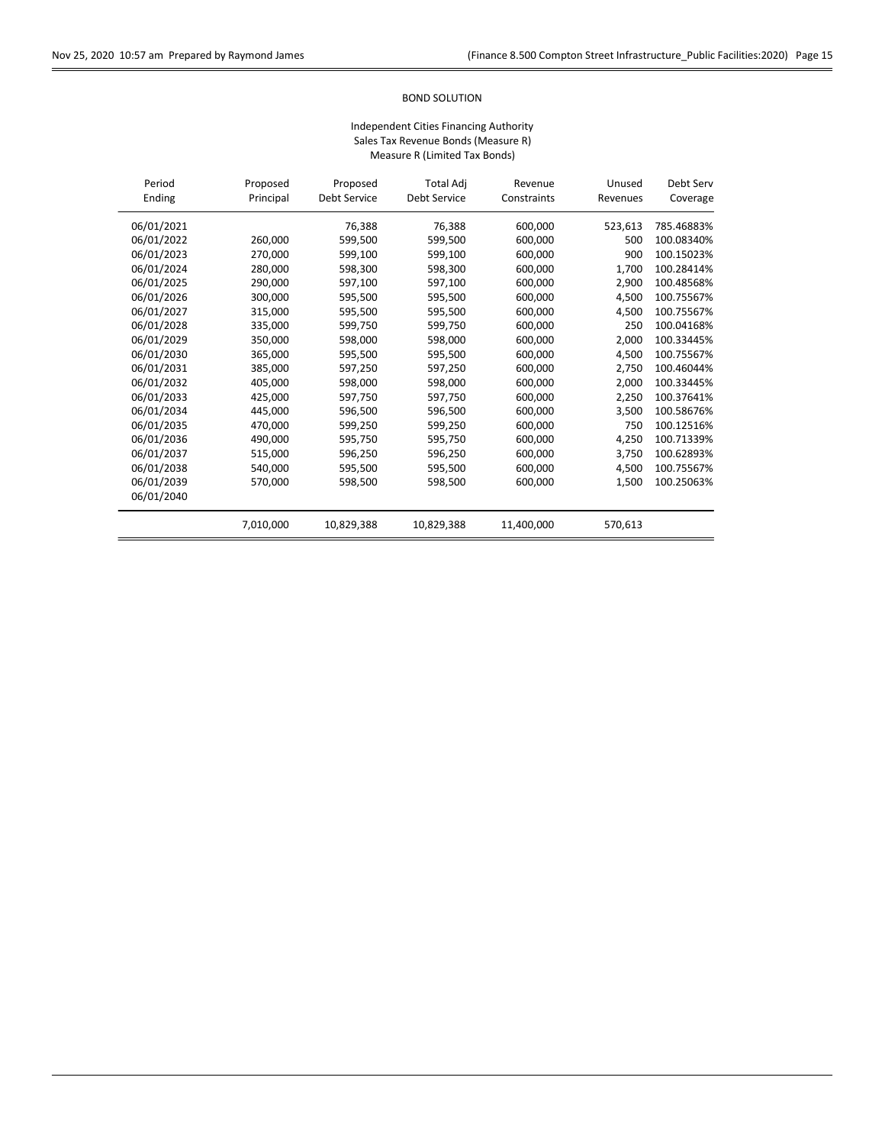## BOND SOLUTION

| Period<br>Ending | Proposed<br>Principal | Proposed<br><b>Debt Service</b> | <b>Total Adj</b><br>Debt Service | Revenue<br>Constraints | Unused<br>Revenues | Debt Serv<br>Coverage |
|------------------|-----------------------|---------------------------------|----------------------------------|------------------------|--------------------|-----------------------|
| 06/01/2021       |                       | 76,388                          | 76,388                           | 600,000                | 523,613            | 785.46883%            |
| 06/01/2022       | 260,000               | 599.500                         | 599.500                          | 600.000                | 500                | 100.08340%            |
| 06/01/2023       | 270,000               | 599,100                         | 599,100                          | 600,000                | 900                | 100.15023%            |
| 06/01/2024       | 280,000               | 598,300                         | 598,300                          | 600,000                | 1.700              | 100.28414%            |
| 06/01/2025       | 290,000               | 597,100                         | 597,100                          | 600,000                | 2,900              | 100.48568%            |
| 06/01/2026       | 300.000               | 595,500                         | 595,500                          | 600,000                | 4.500              | 100.75567%            |
| 06/01/2027       | 315,000               | 595,500                         | 595,500                          | 600.000                | 4.500              | 100.75567%            |
| 06/01/2028       | 335,000               | 599.750                         | 599,750                          | 600,000                | 250                | 100.04168%            |
| 06/01/2029       | 350,000               | 598,000                         | 598,000                          | 600,000                | 2.000              | 100.33445%            |
| 06/01/2030       | 365,000               | 595,500                         | 595,500                          | 600,000                | 4.500              | 100.75567%            |
| 06/01/2031       | 385,000               | 597.250                         | 597.250                          | 600.000                | 2.750              | 100.46044%            |
| 06/01/2032       | 405.000               | 598,000                         | 598.000                          | 600,000                | 2,000              | 100.33445%            |
| 06/01/2033       | 425.000               | 597,750                         | 597,750                          | 600,000                | 2.250              | 100.37641%            |
| 06/01/2034       | 445,000               | 596,500                         | 596,500                          | 600,000                | 3,500              | 100.58676%            |
| 06/01/2035       | 470,000               | 599,250                         | 599,250                          | 600,000                | 750                | 100.12516%            |
| 06/01/2036       | 490,000               | 595,750                         | 595,750                          | 600,000                | 4,250              | 100.71339%            |
| 06/01/2037       | 515,000               | 596,250                         | 596,250                          | 600,000                | 3,750              | 100.62893%            |
| 06/01/2038       | 540,000               | 595,500                         | 595,500                          | 600,000                | 4,500              | 100.75567%            |
| 06/01/2039       | 570,000               | 598,500                         | 598,500                          | 600,000                | 1,500              | 100.25063%            |
| 06/01/2040       |                       |                                 |                                  |                        |                    |                       |
|                  | 7,010,000             | 10,829,388                      | 10,829,388                       | 11,400,000             | 570,613            |                       |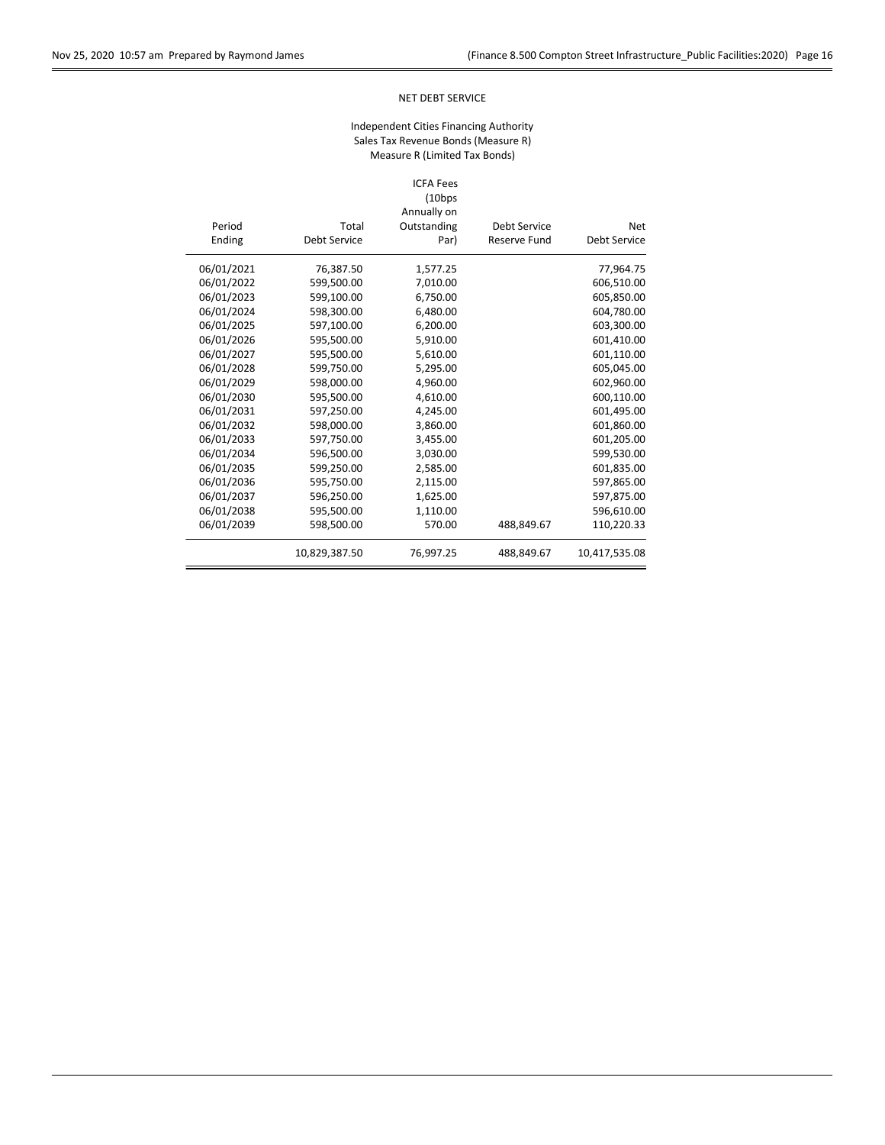## NET DEBT SERVICE

## Independent Cities Financing Authority Sales Tax Revenue Bonds (Measure R) Measure R (Limited Tax Bonds)

#### ICFA Fees (10bps

|            |               | Annually on |                     |               |
|------------|---------------|-------------|---------------------|---------------|
| Period     | Total         | Outstanding | <b>Debt Service</b> | <b>Net</b>    |
| Ending     | Debt Service  | Par)        | <b>Reserve Fund</b> | Debt Service  |
| 06/01/2021 | 76,387.50     | 1,577.25    |                     | 77,964.75     |
| 06/01/2022 | 599,500.00    | 7,010.00    |                     | 606,510.00    |
| 06/01/2023 | 599,100.00    | 6,750.00    |                     | 605,850.00    |
| 06/01/2024 | 598,300.00    | 6,480.00    |                     | 604,780.00    |
| 06/01/2025 | 597,100.00    | 6,200.00    |                     | 603,300.00    |
| 06/01/2026 | 595,500.00    | 5,910.00    |                     | 601,410.00    |
| 06/01/2027 | 595,500.00    | 5,610.00    |                     | 601,110.00    |
| 06/01/2028 | 599,750.00    | 5,295.00    |                     | 605,045.00    |
| 06/01/2029 | 598,000.00    | 4,960.00    |                     | 602,960.00    |
| 06/01/2030 | 595,500.00    | 4,610.00    |                     | 600,110.00    |
| 06/01/2031 | 597,250.00    | 4,245.00    |                     | 601,495.00    |
| 06/01/2032 | 598,000.00    | 3,860.00    |                     | 601,860.00    |
| 06/01/2033 | 597,750.00    | 3,455.00    |                     | 601,205.00    |
| 06/01/2034 | 596,500.00    | 3,030.00    |                     | 599,530.00    |
| 06/01/2035 | 599,250.00    | 2,585.00    |                     | 601,835.00    |
| 06/01/2036 | 595,750.00    | 2,115.00    |                     | 597,865.00    |
| 06/01/2037 | 596,250.00    | 1,625.00    |                     | 597,875.00    |
| 06/01/2038 | 595,500.00    | 1,110.00    |                     | 596,610.00    |
| 06/01/2039 | 598,500.00    | 570.00      | 488,849.67          | 110,220.33    |
|            | 10,829,387.50 | 76,997.25   | 488,849.67          | 10,417,535.08 |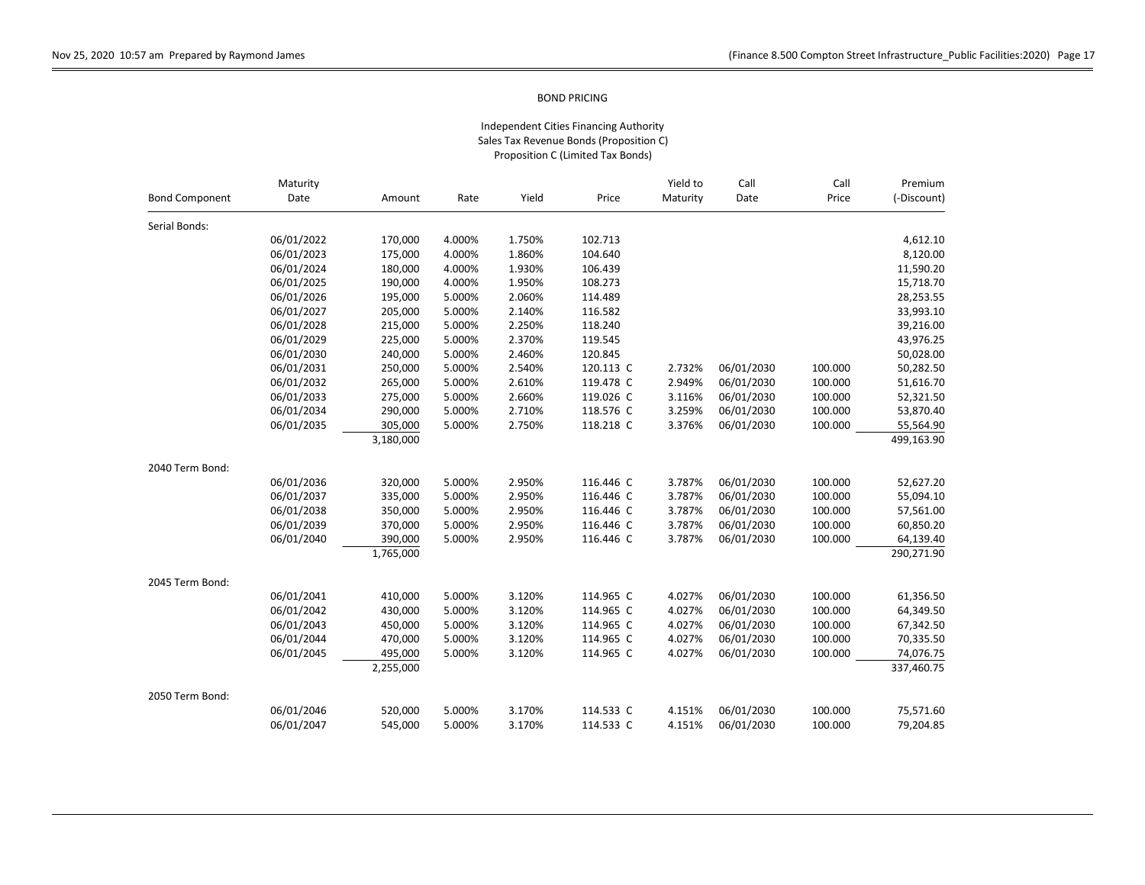|                       | Maturity   |           |        |        |           | Yield to | Call       | Call    | Premium<br>(-Discount) |
|-----------------------|------------|-----------|--------|--------|-----------|----------|------------|---------|------------------------|
| <b>Bond Component</b> | Date       | Amount    | Rate   | Yield  | Price     | Maturity | Date       | Price   |                        |
| Serial Bonds:         |            |           |        |        |           |          |            |         |                        |
|                       | 06/01/2022 | 170,000   | 4.000% | 1.750% | 102.713   |          |            |         | 4,612.10               |
|                       | 06/01/2023 | 175,000   | 4.000% | 1.860% | 104.640   |          |            |         | 8,120.00               |
|                       | 06/01/2024 | 180,000   | 4.000% | 1.930% | 106.439   |          |            |         | 11,590.20              |
|                       | 06/01/2025 | 190,000   | 4.000% | 1.950% | 108.273   |          |            |         | 15,718.70              |
|                       | 06/01/2026 | 195,000   | 5.000% | 2.060% | 114.489   |          |            |         | 28,253.55              |
|                       | 06/01/2027 | 205,000   | 5.000% | 2.140% | 116.582   |          |            |         | 33,993.10              |
|                       | 06/01/2028 | 215,000   | 5.000% | 2.250% | 118.240   |          |            |         | 39,216.00              |
|                       | 06/01/2029 | 225,000   | 5.000% | 2.370% | 119.545   |          |            |         | 43,976.25              |
|                       | 06/01/2030 | 240,000   | 5.000% | 2.460% | 120.845   |          |            |         | 50,028.00              |
|                       | 06/01/2031 | 250,000   | 5.000% | 2.540% | 120.113 C | 2.732%   | 06/01/2030 | 100.000 | 50,282.50              |
|                       | 06/01/2032 | 265,000   | 5.000% | 2.610% | 119.478 C | 2.949%   | 06/01/2030 | 100.000 | 51,616.70              |
|                       | 06/01/2033 | 275,000   | 5.000% | 2.660% | 119.026 C | 3.116%   | 06/01/2030 | 100.000 | 52,321.50              |
|                       | 06/01/2034 | 290,000   | 5.000% | 2.710% | 118.576 C | 3.259%   | 06/01/2030 | 100.000 | 53,870.40              |
|                       | 06/01/2035 | 305,000   | 5.000% | 2.750% | 118.218 C | 3.376%   | 06/01/2030 | 100.000 | 55,564.90              |
|                       |            | 3,180,000 |        |        |           |          |            |         | 499,163.90             |
| 2040 Term Bond:       |            |           |        |        |           |          |            |         |                        |
|                       | 06/01/2036 | 320,000   | 5.000% | 2.950% | 116.446 C | 3.787%   | 06/01/2030 | 100.000 | 52,627.20              |
|                       | 06/01/2037 | 335,000   | 5.000% | 2.950% | 116.446 C | 3.787%   | 06/01/2030 | 100.000 | 55,094.10              |
|                       | 06/01/2038 | 350,000   | 5.000% | 2.950% | 116.446 C | 3.787%   | 06/01/2030 | 100.000 | 57,561.00              |
|                       | 06/01/2039 | 370,000   | 5.000% | 2.950% | 116.446 C | 3.787%   | 06/01/2030 | 100.000 | 60,850.20              |
|                       | 06/01/2040 | 390,000   | 5.000% | 2.950% | 116.446 C | 3.787%   | 06/01/2030 | 100.000 | 64,139.40              |
|                       |            | 1,765,000 |        |        |           |          |            |         | 290,271.90             |
| 2045 Term Bond:       |            |           |        |        |           |          |            |         |                        |
|                       | 06/01/2041 | 410,000   | 5.000% | 3.120% | 114.965 C | 4.027%   | 06/01/2030 | 100.000 | 61,356.50              |
|                       | 06/01/2042 | 430,000   | 5.000% | 3.120% | 114.965 C | 4.027%   | 06/01/2030 | 100.000 | 64,349.50              |
|                       | 06/01/2043 | 450,000   | 5.000% | 3.120% | 114.965 C | 4.027%   | 06/01/2030 | 100.000 | 67,342.50              |
|                       | 06/01/2044 | 470,000   | 5.000% | 3.120% | 114.965 C | 4.027%   | 06/01/2030 | 100.000 | 70,335.50              |
|                       | 06/01/2045 | 495,000   | 5.000% | 3.120% | 114.965 C | 4.027%   | 06/01/2030 | 100.000 | 74,076.75              |
|                       |            | 2,255,000 |        |        |           |          |            |         | 337,460.75             |
| 2050 Term Bond:       |            |           |        |        |           |          |            |         |                        |
|                       | 06/01/2046 | 520,000   | 5.000% | 3.170% | 114.533 C | 4.151%   | 06/01/2030 | 100.000 | 75,571.60              |
|                       | 06/01/2047 | 545.000   | 5.000% | 3.170% | 114.533 C | 4.151%   | 06/01/2030 | 100.000 | 79,204.85              |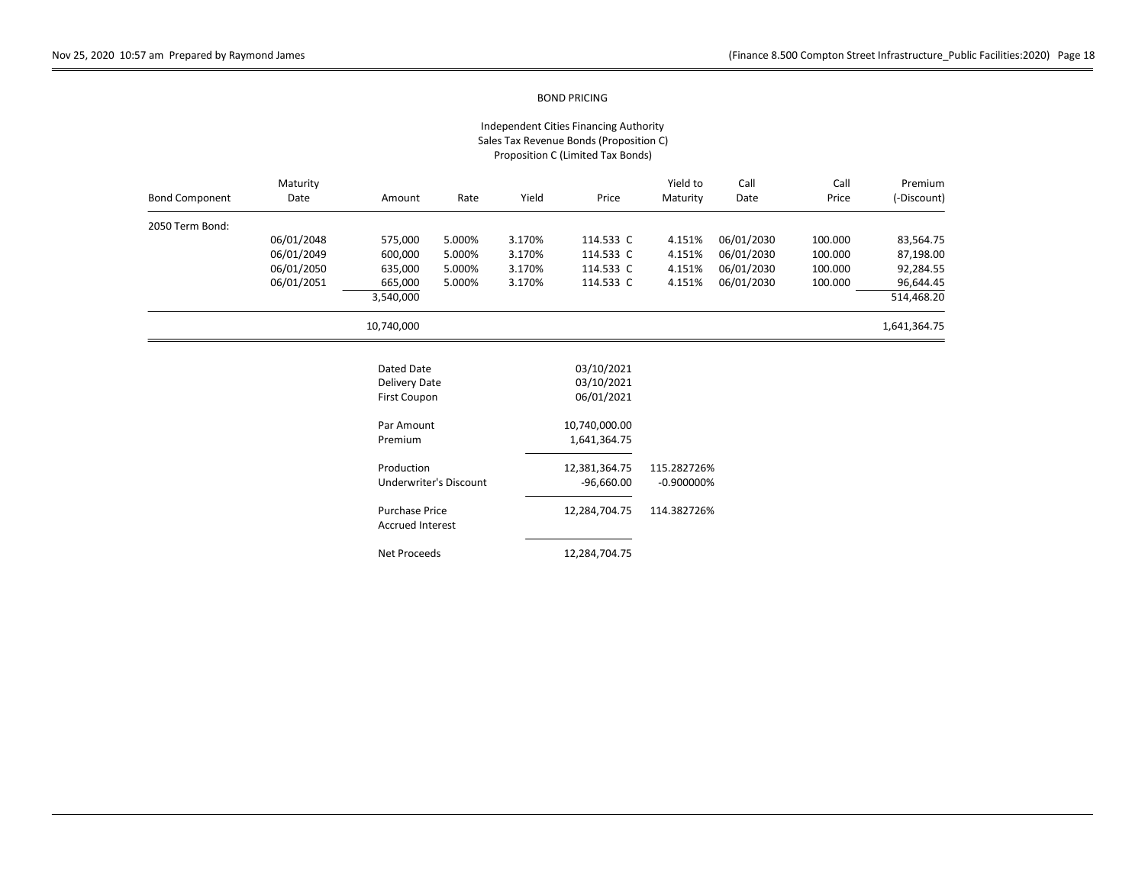| <b>Bond Component</b> | Maturity<br>Date | Amount                                           | Rate                          | Yield  | Price                                  | Yield to<br>Maturity | Call<br>Date | Call<br>Price | Premium<br>(-Discount) |
|-----------------------|------------------|--------------------------------------------------|-------------------------------|--------|----------------------------------------|----------------------|--------------|---------------|------------------------|
| 2050 Term Bond:       |                  |                                                  |                               |        |                                        |                      |              |               |                        |
|                       | 06/01/2048       | 575,000                                          | 5.000%                        | 3.170% | 114.533 C                              | 4.151%               | 06/01/2030   | 100.000       | 83,564.75              |
|                       | 06/01/2049       | 600,000                                          | 5.000%                        | 3.170% | 114.533 C                              | 4.151%               | 06/01/2030   | 100.000       | 87,198.00              |
|                       | 06/01/2050       | 635,000                                          | 5.000%                        | 3.170% | 114.533 C                              | 4.151%               | 06/01/2030   | 100.000       | 92,284.55              |
|                       | 06/01/2051       | 665,000                                          | 5.000%                        | 3.170% | 114.533 C                              | 4.151%               | 06/01/2030   | 100.000       | 96,644.45              |
|                       |                  | 3,540,000                                        |                               |        |                                        |                      |              |               | 514,468.20             |
|                       |                  | 10,740,000                                       |                               |        |                                        |                      |              |               | 1,641,364.75           |
|                       |                  | Dated Date<br>Delivery Date<br>First Coupon      |                               |        | 03/10/2021<br>03/10/2021<br>06/01/2021 |                      |              |               |                        |
|                       |                  | Par Amount                                       |                               |        | 10,740,000.00                          |                      |              |               |                        |
|                       |                  | Premium                                          |                               |        | 1,641,364.75                           |                      |              |               |                        |
|                       |                  | Production                                       |                               |        | 12,381,364.75                          | 115.282726%          |              |               |                        |
|                       |                  |                                                  | <b>Underwriter's Discount</b> |        | $-96,660.00$                           | $-0.900000%$         |              |               |                        |
|                       |                  | <b>Purchase Price</b><br><b>Accrued Interest</b> |                               |        | 12,284,704.75                          | 114.382726%          |              |               |                        |
|                       |                  | Net Proceeds                                     |                               |        | 12,284,704.75                          |                      |              |               |                        |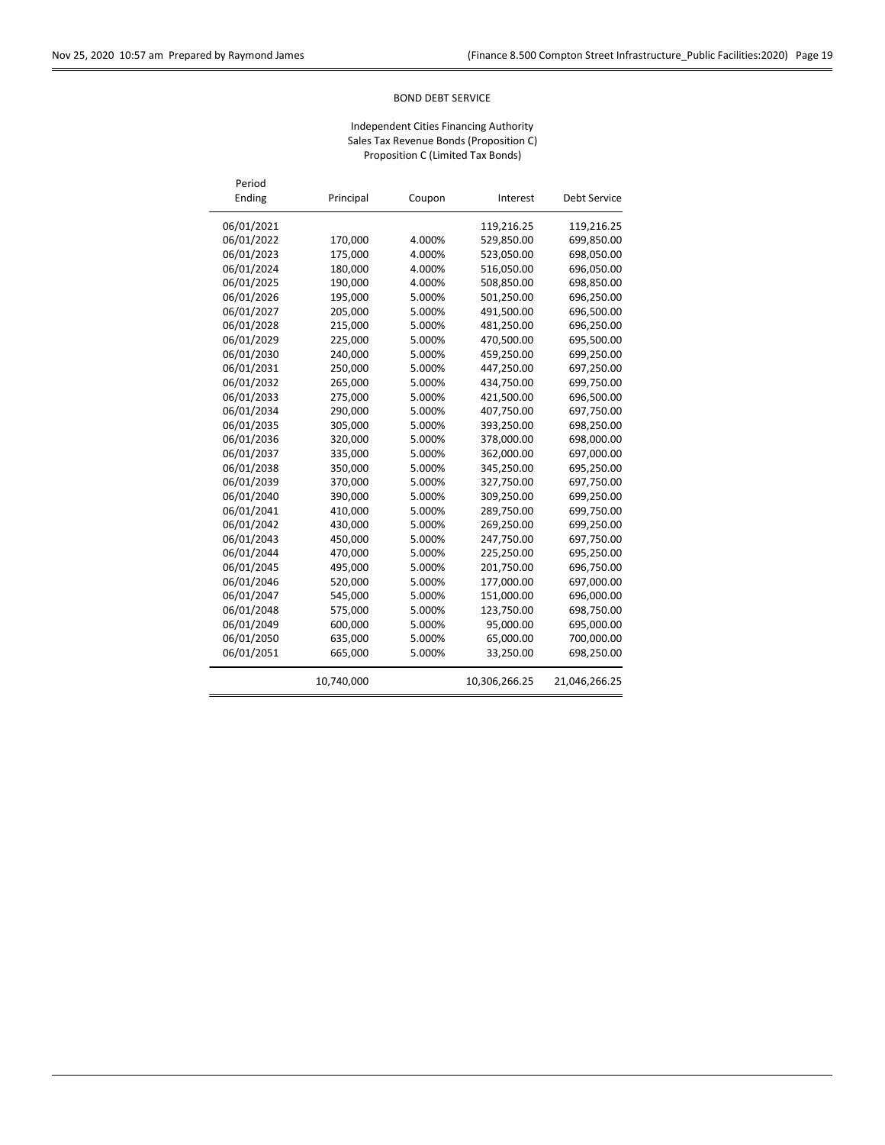$\overline{a}$ 

## BOND DEBT SERVICE

| Period<br>Ending | Principal  | Coupon | Interest      | <b>Debt Service</b> |
|------------------|------------|--------|---------------|---------------------|
| 06/01/2021       |            |        | 119,216.25    | 119,216.25          |
| 06/01/2022       | 170,000    | 4.000% | 529,850.00    | 699,850.00          |
| 06/01/2023       | 175,000    | 4.000% | 523,050.00    | 698,050.00          |
| 06/01/2024       | 180,000    | 4.000% | 516,050.00    | 696,050.00          |
| 06/01/2025       | 190,000    | 4.000% | 508,850.00    | 698,850.00          |
| 06/01/2026       | 195,000    | 5.000% | 501,250.00    | 696,250.00          |
| 06/01/2027       | 205,000    | 5.000% | 491,500.00    | 696,500.00          |
| 06/01/2028       | 215,000    | 5.000% | 481,250.00    | 696,250.00          |
| 06/01/2029       | 225,000    | 5.000% | 470,500.00    | 695,500.00          |
| 06/01/2030       | 240,000    | 5.000% | 459,250.00    | 699,250.00          |
| 06/01/2031       | 250,000    | 5.000% | 447,250.00    | 697,250.00          |
| 06/01/2032       | 265,000    | 5.000% | 434,750.00    | 699,750.00          |
| 06/01/2033       | 275,000    | 5.000% | 421,500.00    | 696,500.00          |
| 06/01/2034       | 290,000    | 5.000% | 407,750.00    | 697,750.00          |
| 06/01/2035       | 305,000    | 5.000% | 393,250.00    | 698,250.00          |
| 06/01/2036       | 320,000    | 5.000% | 378,000.00    | 698,000.00          |
| 06/01/2037       | 335,000    | 5.000% | 362,000.00    | 697,000.00          |
| 06/01/2038       | 350,000    | 5.000% | 345,250.00    | 695,250.00          |
| 06/01/2039       | 370,000    | 5.000% | 327,750.00    | 697,750.00          |
| 06/01/2040       | 390,000    | 5.000% | 309,250.00    | 699,250.00          |
| 06/01/2041       | 410,000    | 5.000% | 289,750.00    | 699,750.00          |
| 06/01/2042       | 430,000    | 5.000% | 269,250.00    | 699,250.00          |
| 06/01/2043       | 450,000    | 5.000% | 247,750.00    | 697,750.00          |
| 06/01/2044       | 470,000    | 5.000% | 225,250.00    | 695,250.00          |
| 06/01/2045       | 495,000    | 5.000% | 201,750.00    | 696,750.00          |
| 06/01/2046       | 520,000    | 5.000% | 177,000.00    | 697,000.00          |
| 06/01/2047       | 545,000    | 5.000% | 151,000.00    | 696,000.00          |
| 06/01/2048       | 575,000    | 5.000% | 123,750.00    | 698,750.00          |
| 06/01/2049       | 600,000    | 5.000% | 95,000.00     | 695,000.00          |
| 06/01/2050       | 635,000    | 5.000% | 65,000.00     | 700,000.00          |
| 06/01/2051       | 665,000    | 5.000% | 33,250.00     | 698,250.00          |
|                  | 10,740,000 |        | 10,306,266.25 | 21,046,266.25       |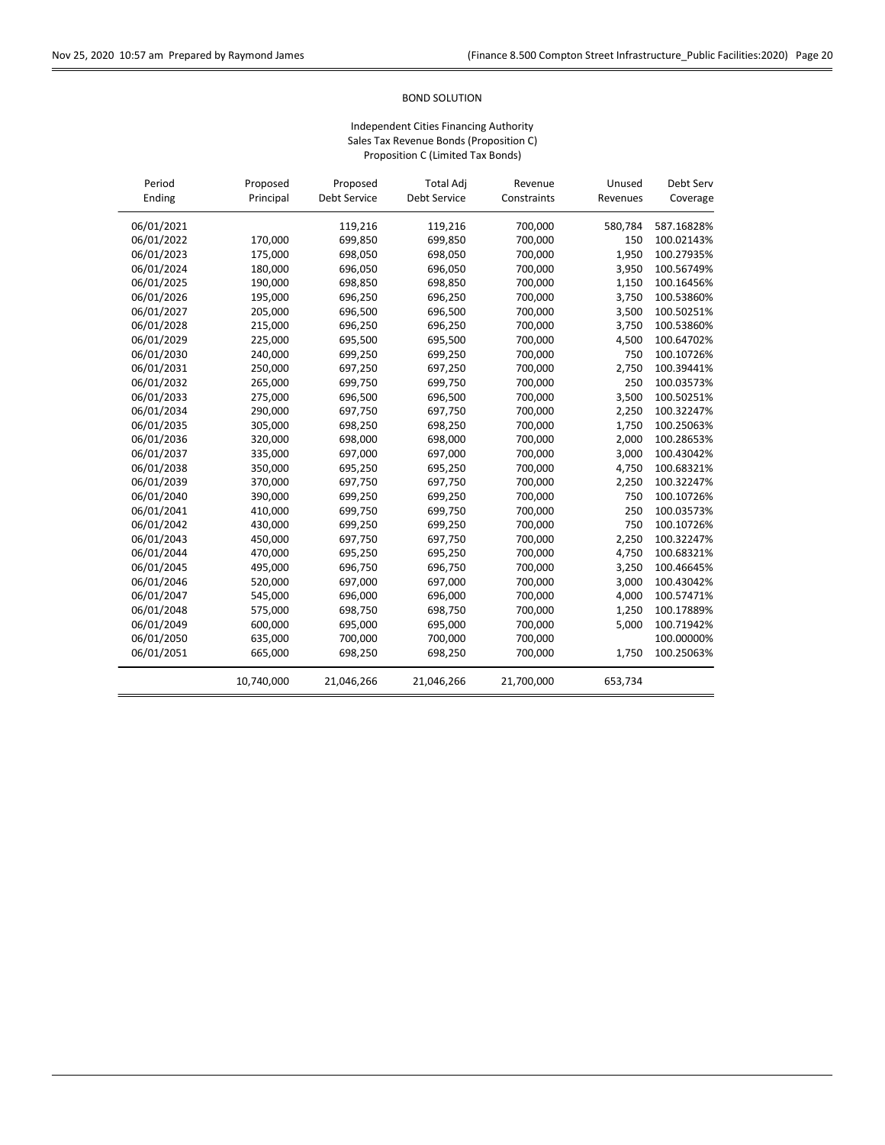## BOND SOLUTION

| Period     | Proposed   | Proposed     | <b>Total Adj</b>    | Revenue     | Unused   | Debt Serv  |
|------------|------------|--------------|---------------------|-------------|----------|------------|
| Ending     | Principal  | Debt Service | <b>Debt Service</b> | Constraints | Revenues | Coverage   |
| 06/01/2021 |            | 119,216      | 119,216             | 700,000     | 580,784  | 587.16828% |
| 06/01/2022 | 170,000    | 699,850      | 699,850             | 700,000     | 150      | 100.02143% |
| 06/01/2023 | 175,000    | 698,050      | 698,050             | 700,000     | 1,950    | 100.27935% |
| 06/01/2024 | 180,000    | 696,050      | 696,050             | 700,000     | 3,950    | 100.56749% |
| 06/01/2025 | 190,000    | 698,850      | 698,850             | 700,000     | 1,150    | 100.16456% |
| 06/01/2026 | 195,000    | 696,250      | 696,250             | 700,000     | 3,750    | 100.53860% |
| 06/01/2027 | 205,000    | 696,500      | 696,500             | 700,000     | 3,500    | 100.50251% |
| 06/01/2028 | 215,000    | 696,250      | 696,250             | 700,000     | 3,750    | 100.53860% |
| 06/01/2029 | 225,000    | 695,500      | 695,500             | 700,000     | 4,500    | 100.64702% |
| 06/01/2030 | 240,000    | 699,250      | 699,250             | 700,000     | 750      | 100.10726% |
| 06/01/2031 | 250,000    | 697,250      | 697,250             | 700,000     | 2,750    | 100.39441% |
| 06/01/2032 | 265,000    | 699,750      | 699,750             | 700,000     | 250      | 100.03573% |
| 06/01/2033 | 275,000    | 696,500      | 696,500             | 700,000     | 3,500    | 100.50251% |
| 06/01/2034 | 290,000    | 697,750      | 697,750             | 700,000     | 2,250    | 100.32247% |
| 06/01/2035 | 305,000    | 698,250      | 698,250             | 700,000     | 1,750    | 100.25063% |
| 06/01/2036 | 320,000    | 698,000      | 698,000             | 700,000     | 2,000    | 100.28653% |
| 06/01/2037 | 335,000    | 697,000      | 697,000             | 700,000     | 3,000    | 100.43042% |
| 06/01/2038 | 350,000    | 695,250      | 695,250             | 700,000     | 4,750    | 100.68321% |
| 06/01/2039 | 370,000    | 697,750      | 697,750             | 700,000     | 2,250    | 100.32247% |
| 06/01/2040 | 390,000    | 699,250      | 699,250             | 700,000     | 750      | 100.10726% |
| 06/01/2041 | 410,000    | 699,750      | 699,750             | 700,000     | 250      | 100.03573% |
| 06/01/2042 | 430,000    | 699,250      | 699,250             | 700,000     | 750      | 100.10726% |
| 06/01/2043 | 450,000    | 697,750      | 697,750             | 700,000     | 2,250    | 100.32247% |
| 06/01/2044 | 470,000    | 695,250      | 695,250             | 700,000     | 4,750    | 100.68321% |
| 06/01/2045 | 495,000    | 696,750      | 696,750             | 700,000     | 3,250    | 100.46645% |
| 06/01/2046 | 520,000    | 697,000      | 697,000             | 700,000     | 3,000    | 100.43042% |
| 06/01/2047 | 545,000    | 696,000      | 696,000             | 700,000     | 4,000    | 100.57471% |
| 06/01/2048 | 575,000    | 698,750      | 698,750             | 700,000     | 1,250    | 100.17889% |
| 06/01/2049 | 600,000    | 695,000      | 695,000             | 700,000     | 5,000    | 100.71942% |
| 06/01/2050 | 635,000    | 700,000      | 700,000             | 700,000     |          | 100.00000% |
| 06/01/2051 | 665,000    | 698,250      | 698,250             | 700,000     | 1,750    | 100.25063% |
|            | 10,740,000 | 21,046,266   | 21,046,266          | 21,700,000  | 653,734  |            |